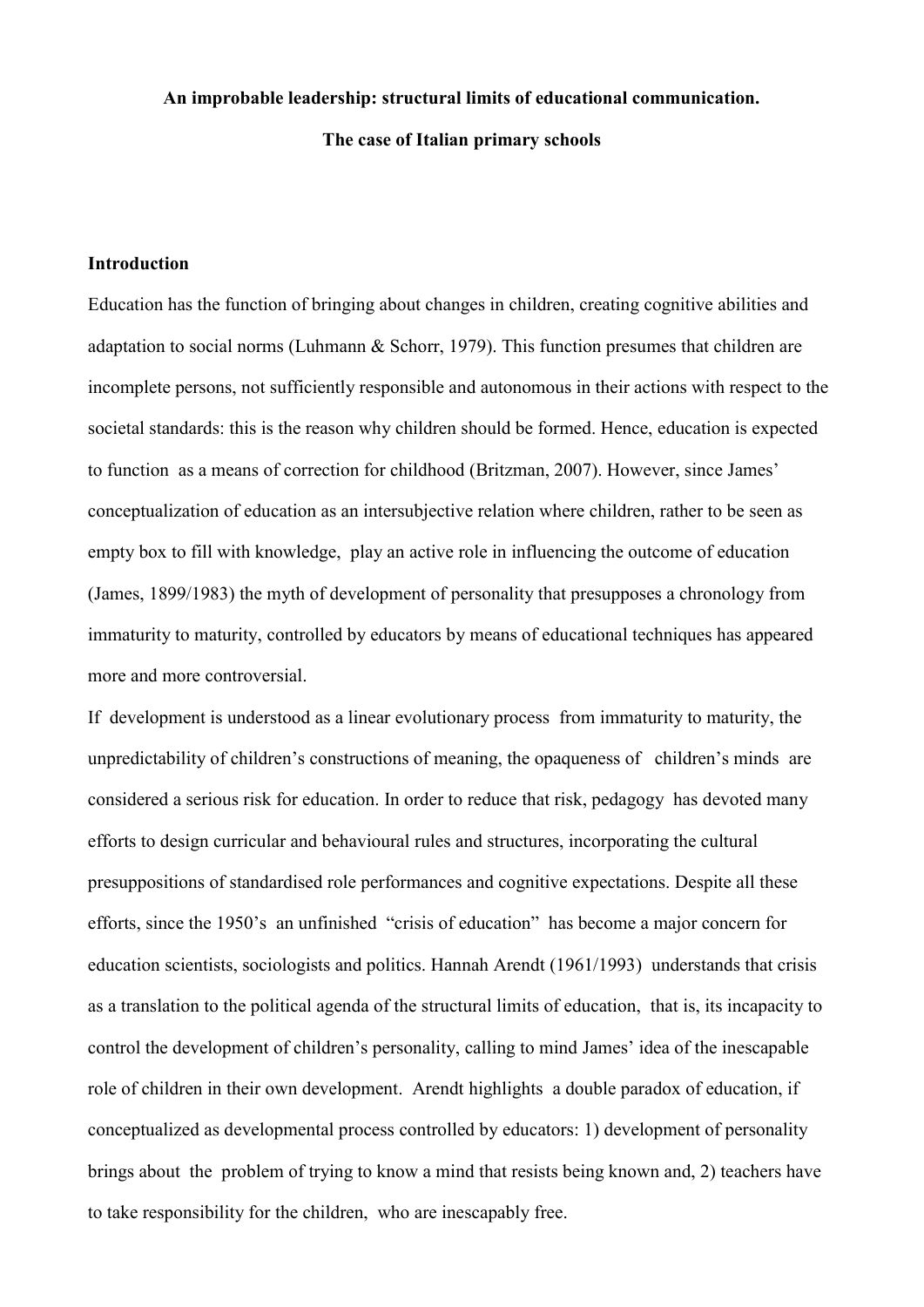# **An improbable leadership: structural limits of educational communication. The case of Italian primary schools**

# **Introduction**

Education has the function of bringing about changes in children, creating cognitive abilities and adaptation to social norms (Luhmann & Schorr, 1979). This function presumes that children are incomplete persons, not sufficiently responsible and autonomous in their actions with respect to the societal standards: this is the reason why children should be formed. Hence, education is expected to function as a means of correction for childhood (Britzman, 2007). However, since James' conceptualization of education as an intersubjective relation where children, rather to be seen as empty box to fill with knowledge, play an active role in influencing the outcome of education (James, 1899/1983) the myth of development of personality that presupposes a chronology from immaturity to maturity, controlled by educators by means of educational techniques has appeared more and more controversial.

If development is understood as a linear evolutionary process from immaturity to maturity, the unpredictability of children's constructions of meaning, the opaqueness of children's minds are considered a serious risk for education. In order to reduce that risk, pedagogy has devoted many efforts to design curricular and behavioural rules and structures, incorporating the cultural presuppositions of standardised role performances and cognitive expectations. Despite all these efforts, since the 1950's an unfinished "crisis of education" has become a major concern for education scientists, sociologists and politics. Hannah Arendt (1961/1993) understands that crisis as a translation to the political agenda of the structural limits of education, that is, its incapacity to control the development of children's personality, calling to mind James' idea of the inescapable role of children in their own development. Arendt highlights a double paradox of education, if conceptualized as developmental process controlled by educators: 1) development of personality brings about the problem of trying to know a mind that resists being known and, 2) teachers have to take responsibility for the children, who are inescapably free.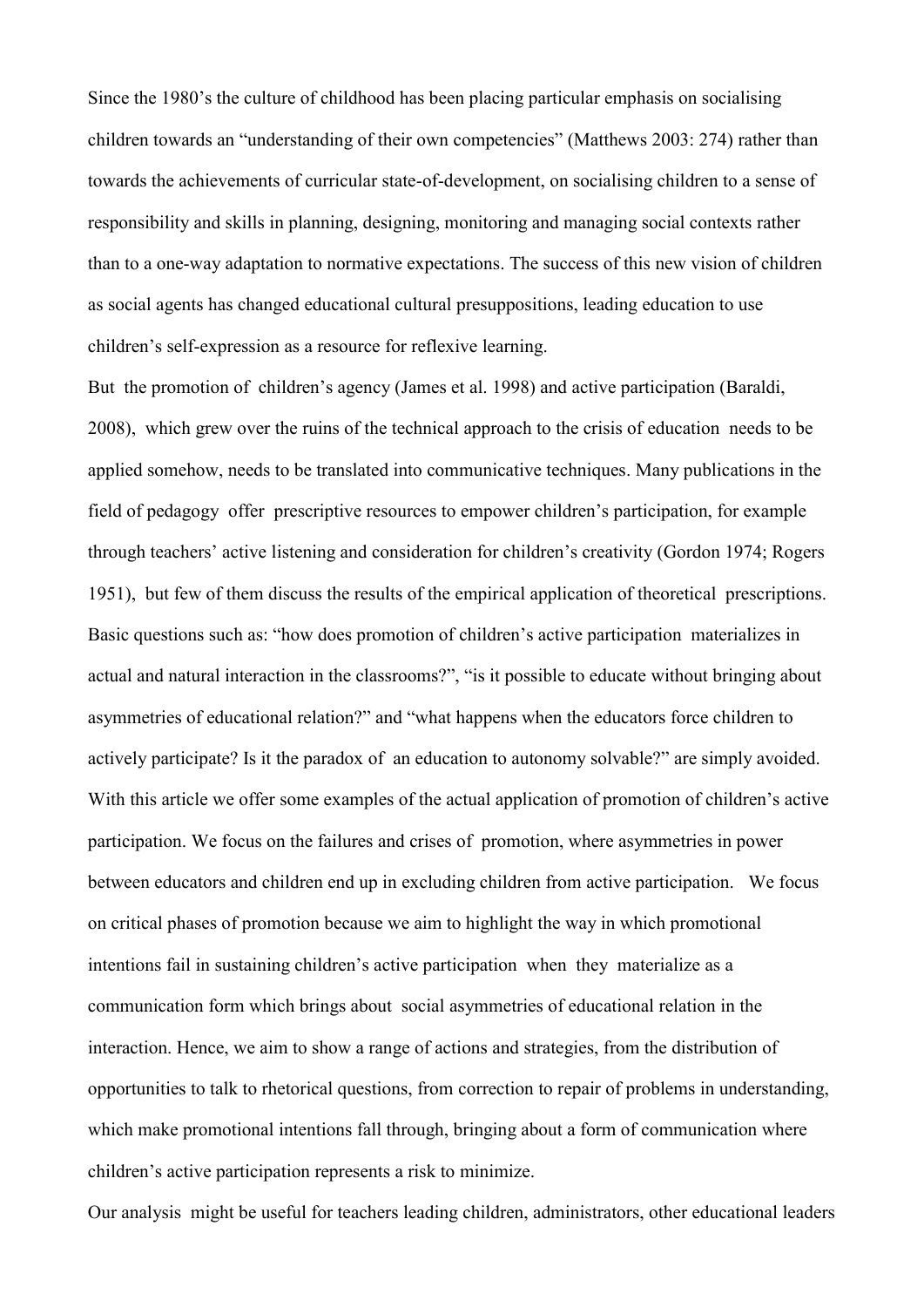Since the 1980's the culture of childhood has been placing particular emphasis on socialising children towards an "understanding of their own competencies" (Matthews 2003: 274) rather than towards the achievements of curricular state-of-development, on socialising children to a sense of responsibility and skills in planning, designing, monitoring and managing social contexts rather than to a one-way adaptation to normative expectations. The success of this new vision of children as social agents has changed educational cultural presuppositions, leading education to use children's self-expression as a resource for reflexive learning.

But the promotion of children's agency (James et al. 1998) and active participation (Baraldi, 2008), which grew over the ruins of the technical approach to the crisis of education needs to be applied somehow, needs to be translated into communicative techniques. Many publications in the field of pedagogy offer prescriptive resources to empower children's participation, for example through teachers' active listening and consideration for children's creativity (Gordon 1974; Rogers 1951), but few of them discuss the results of the empirical application of theoretical prescriptions. Basic questions such as: "how does promotion of children's active participation materializes in actual and natural interaction in the classrooms?", "is it possible to educate without bringing about asymmetries of educational relation?" and "what happens when the educators force children to actively participate? Is it the paradox of an education to autonomy solvable?" are simply avoided. With this article we offer some examples of the actual application of promotion of children's active participation. We focus on the failures and crises of promotion, where asymmetries in power between educators and children end up in excluding children from active participation. We focus on critical phases of promotion because we aim to highlight the way in which promotional intentions fail in sustaining children's active participation when they materialize as a communication form which brings about social asymmetries of educational relation in the interaction. Hence, we aim to show a range of actions and strategies, from the distribution of opportunities to talk to rhetorical questions, from correction to repair of problems in understanding, which make promotional intentions fall through, bringing about a form of communication where children's active participation represents a risk to minimize.

Our analysis might be useful for teachers leading children, administrators, other educational leaders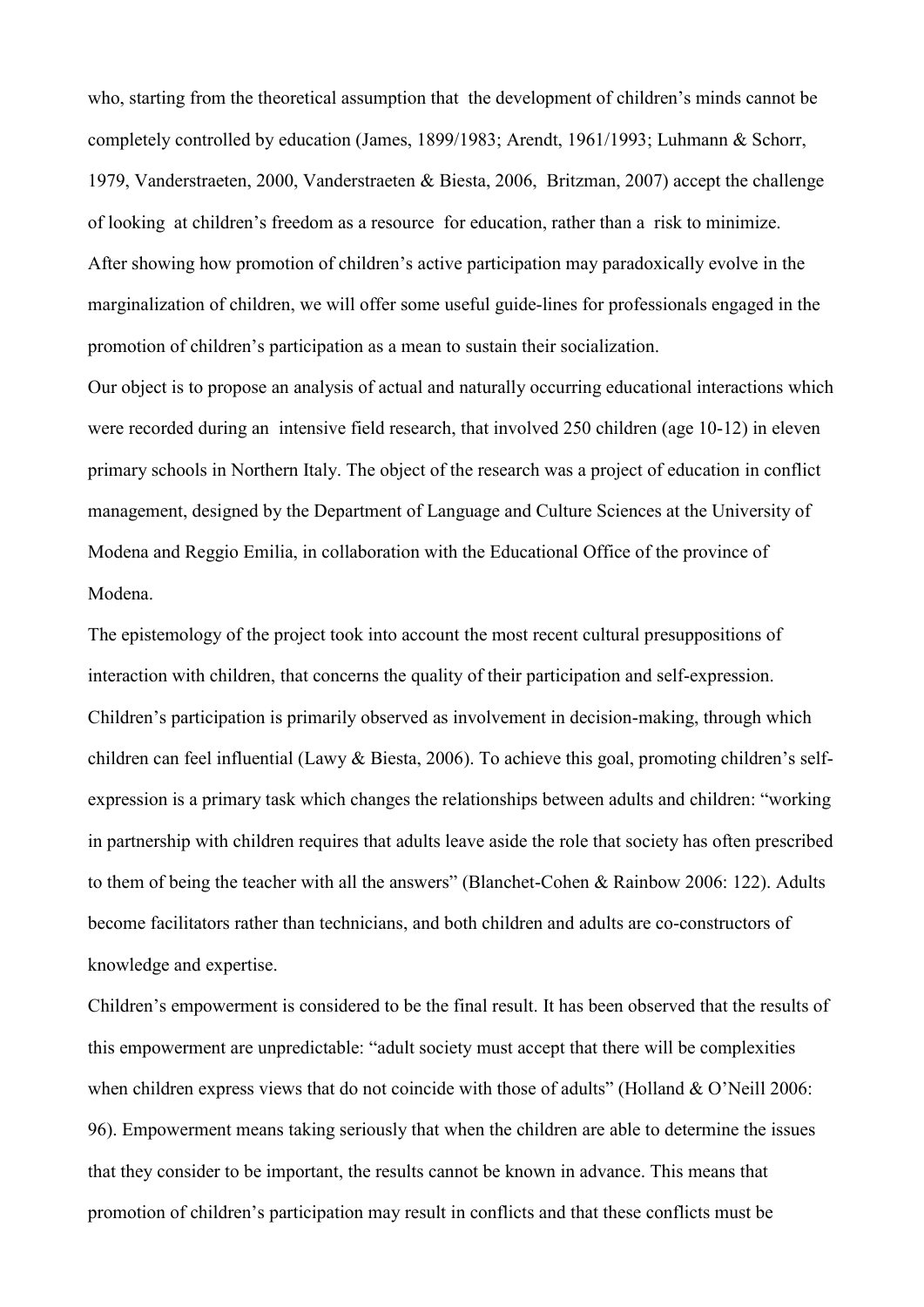who, starting from the theoretical assumption that the development of children's minds cannot be completely controlled by education (James, 1899/1983; Arendt, 1961/1993; Luhmann & Schorr, 1979, Vanderstraeten, 2000, Vanderstraeten & Biesta, 2006, Britzman, 2007) accept the challenge of looking at children's freedom as a resource for education, rather than a risk to minimize. After showing how promotion of children's active participation may paradoxically evolve in the marginalization of children, we will offer some useful guide-lines for professionals engaged in the promotion of children's participation as a mean to sustain their socialization.

Our object is to propose an analysis of actual and naturally occurring educational interactions which were recorded during an intensive field research, that involved 250 children (age 10-12) in eleven primary schools in Northern Italy. The object of the research was a project of education in conflict management, designed by the Department of Language and Culture Sciences at the University of Modena and Reggio Emilia, in collaboration with the Educational Office of the province of Modena.

The epistemology of the project took into account the most recent cultural presuppositions of interaction with children, that concerns the quality of their participation and self-expression. Children's participation is primarily observed as involvement in decision-making, through which children can feel influential (Lawy & Biesta, 2006). To achieve this goal, promoting children's selfexpression is a primary task which changes the relationships between adults and children: "working in partnership with children requires that adults leave aside the role that society has often prescribed to them of being the teacher with all the answers" (Blanchet-Cohen & Rainbow 2006: 122). Adults become facilitators rather than technicians, and both children and adults are co-constructors of knowledge and expertise.

Children's empowerment is considered to be the final result. It has been observed that the results of this empowerment are unpredictable: "adult society must accept that there will be complexities when children express views that do not coincide with those of adults" (Holland & O'Neill 2006: 96). Empowerment means taking seriously that when the children are able to determine the issues that they consider to be important, the results cannot be known in advance. This means that promotion of children's participation may result in conflicts and that these conflicts must be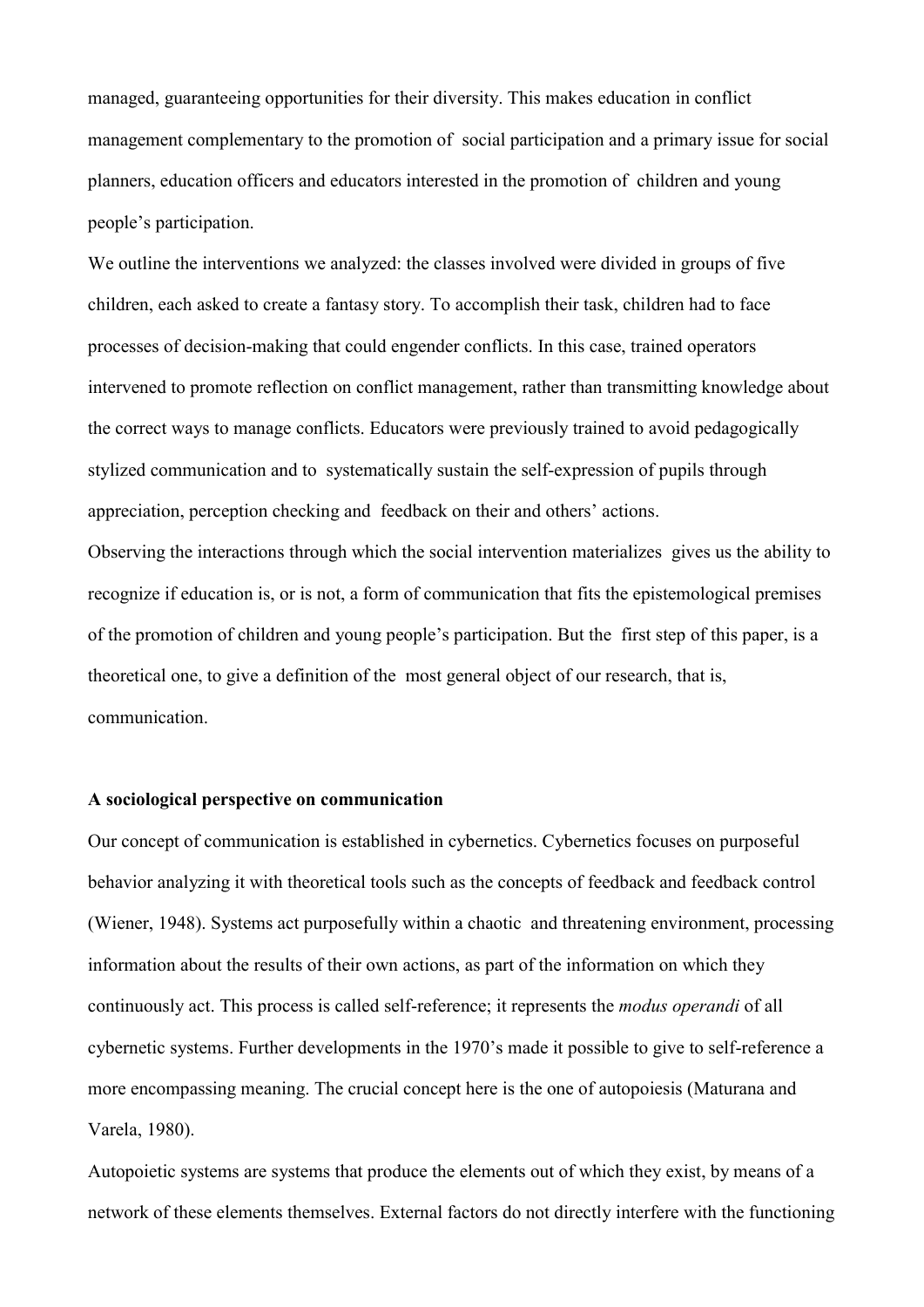managed, guaranteeing opportunities for their diversity. This makes education in conflict management complementary to the promotion of social participation and a primary issue for social planners, education officers and educators interested in the promotion of children and young people's participation.

We outline the interventions we analyzed: the classes involved were divided in groups of five children, each asked to create a fantasy story. To accomplish their task, children had to face processes of decision-making that could engender conflicts. In this case, trained operators intervened to promote reflection on conflict management, rather than transmitting knowledge about the correct ways to manage conflicts. Educators were previously trained to avoid pedagogically stylized communication and to systematically sustain the self-expression of pupils through appreciation, perception checking and feedback on their and others' actions. Observing the interactions through which the social intervention materializes gives us the ability to recognize if education is, or is not, a form of communication that fits the epistemological premises of the promotion of children and young people's participation. But the first step of this paper, is a theoretical one, to give a definition of the most general object of our research, that is, communication.

#### **A sociological perspective on communication**

Our concept of communication is established in cybernetics. Cybernetics focuses on purposeful behavior analyzing it with theoretical tools such as the concepts of feedback and feedback control (Wiener, 1948). Systems act purposefully within a chaotic and threatening environment, processing information about the results of their own actions, as part of the information on which they continuously act. This process is called self-reference; it represents the *modus operandi* of all cybernetic systems. Further developments in the 1970's made it possible to give to self-reference a more encompassing meaning. The crucial concept here is the one of autopoiesis (Maturana and Varela, 1980).

Autopoietic systems are systems that produce the elements out of which they exist, by means of a network of these elements themselves. External factors do not directly interfere with the functioning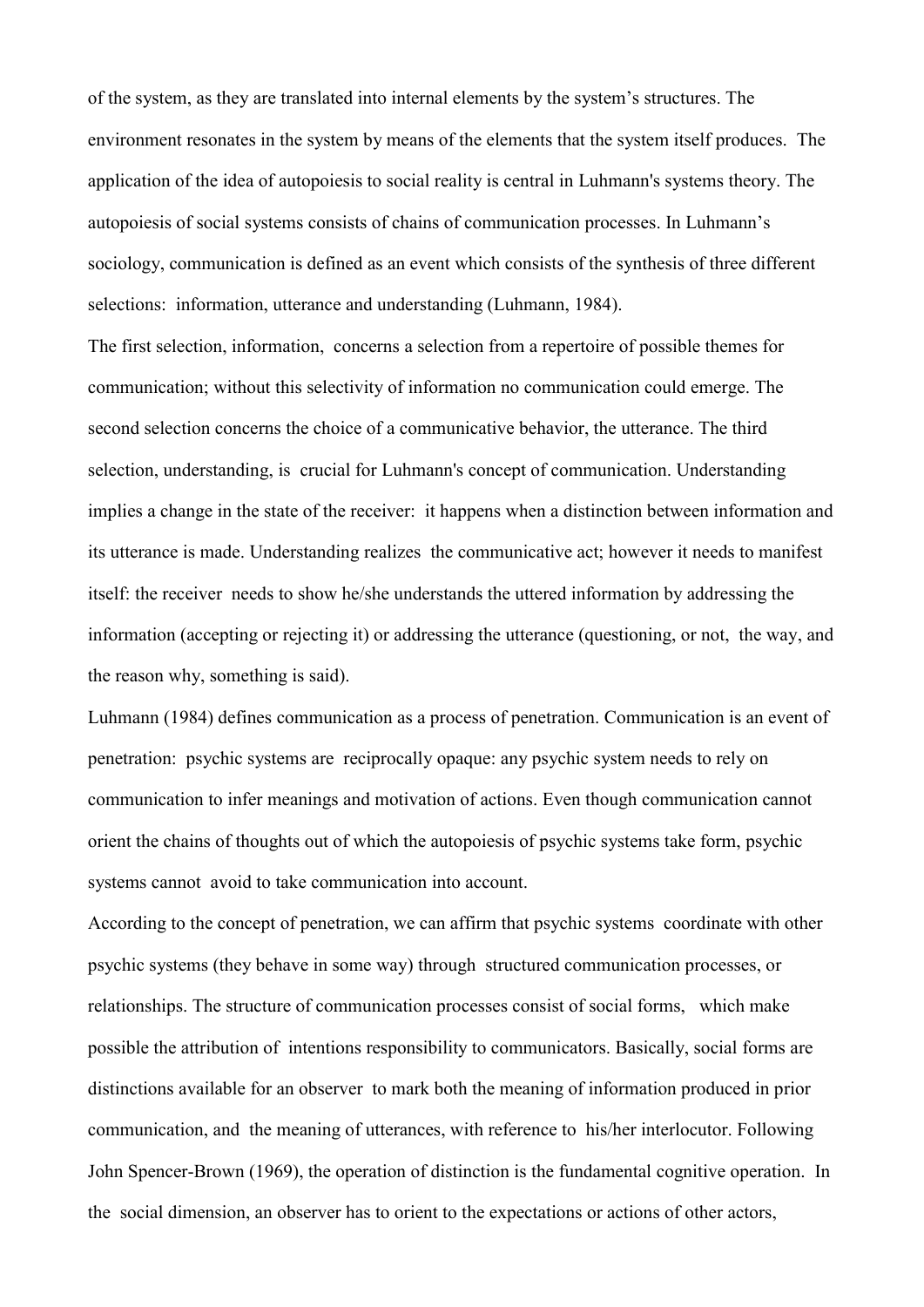of the system, as they are translated into internal elements by the system's structures. The environment resonates in the system by means of the elements that the system itself produces. The application of the idea of autopoiesis to social reality is central in Luhmann's systems theory. The autopoiesis of social systems consists of chains of communication processes. In Luhmann's sociology, communication is defined as an event which consists of the synthesis of three different selections: information, utterance and understanding (Luhmann, 1984).

The first selection, information, concerns a selection from a repertoire of possible themes for communication; without this selectivity of information no communication could emerge. The second selection concerns the choice of a communicative behavior, the utterance. The third selection, understanding, is crucial for Luhmann's concept of communication. Understanding implies a change in the state of the receiver: it happens when a distinction between information and its utterance is made. Understanding realizes the communicative act; however it needs to manifest itself: the receiver needs to show he/she understands the uttered information by addressing the information (accepting or rejecting it) or addressing the utterance (questioning, or not, the way, and the reason why, something is said).

Luhmann (1984) defines communication as a process of penetration. Communication is an event of penetration: psychic systems are reciprocally opaque: any psychic system needs to rely on communication to infer meanings and motivation of actions. Even though communication cannot orient the chains of thoughts out of which the autopoiesis of psychic systems take form, psychic systems cannot avoid to take communication into account.

According to the concept of penetration, we can affirm that psychic systems coordinate with other psychic systems (they behave in some way) through structured communication processes, or relationships. The structure of communication processes consist of social forms, which make possible the attribution of intentions responsibility to communicators. Basically, social forms are distinctions available for an observer to mark both the meaning of information produced in prior communication, and the meaning of utterances, with reference to his/her interlocutor. Following John Spencer-Brown (1969), the operation of distinction is the fundamental cognitive operation. In the social dimension, an observer has to orient to the expectations or actions of other actors,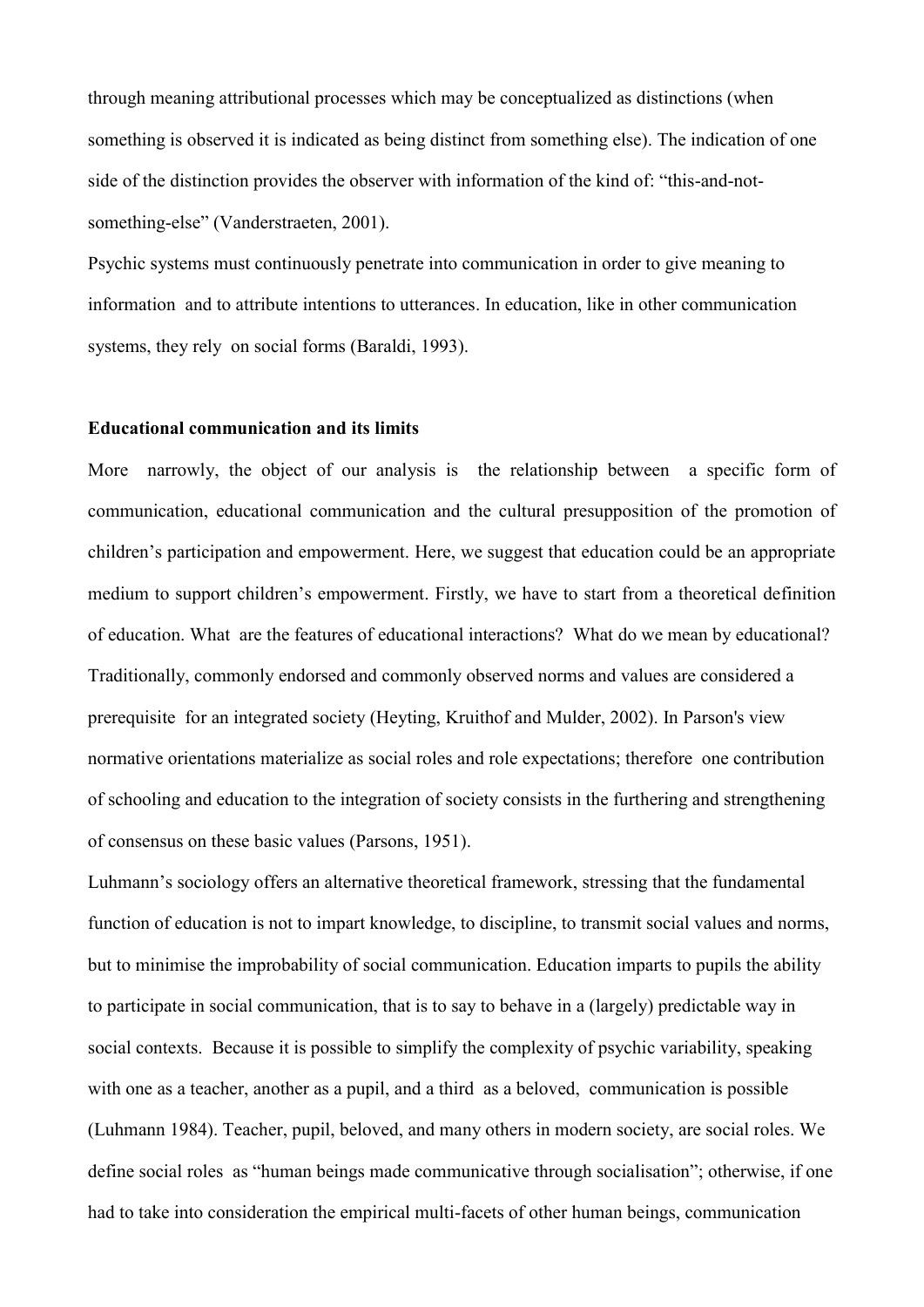through meaning attributional processes which may be conceptualized as distinctions (when something is observed it is indicated as being distinct from something else). The indication of one side of the distinction provides the observer with information of the kind of: "this-and-notsomething-else" (Vanderstraeten, 2001).

Psychic systems must continuously penetrate into communication in order to give meaning to information and to attribute intentions to utterances. In education, like in other communication systems, they rely on social forms (Baraldi, 1993).

### **Educational communication and its limits**

More narrowly, the object of our analysis is the relationship between a specific form of communication, educational communication and the cultural presupposition of the promotion of children's participation and empowerment. Here, we suggest that education could be an appropriate medium to support children's empowerment. Firstly, we have to start from a theoretical definition of education. What are the features of educational interactions? What do we mean by educational? Traditionally, commonly endorsed and commonly observed norms and values are considered a prerequisite for an integrated society (Heyting, Kruithof and Mulder, 2002). In Parson's view normative orientations materialize as social roles and role expectations; therefore one contribution of schooling and education to the integration of society consists in the furthering and strengthening of consensus on these basic values (Parsons, 1951).

Luhmann's sociology offers an alternative theoretical framework, stressing that the fundamental function of education is not to impart knowledge, to discipline, to transmit social values and norms, but to minimise the improbability of social communication. Education imparts to pupils the ability to participate in social communication, that is to say to behave in a (largely) predictable way in social contexts. Because it is possible to simplify the complexity of psychic variability, speaking with one as a teacher, another as a pupil, and a third as a beloved, communication is possible (Luhmann 1984). Teacher, pupil, beloved, and many others in modern society, are social roles. We define social roles as "human beings made communicative through socialisation"; otherwise, if one had to take into consideration the empirical multi-facets of other human beings, communication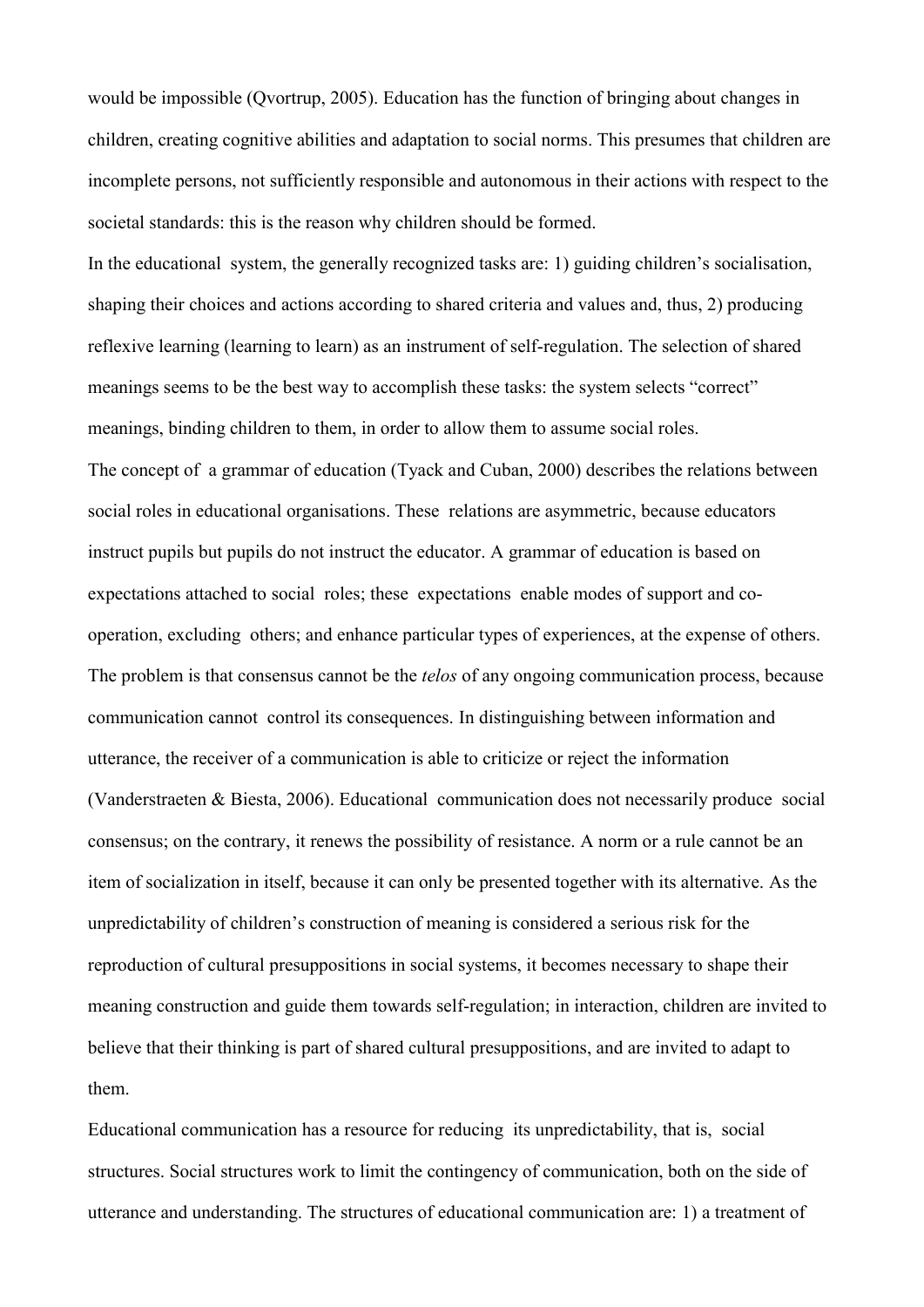would be impossible (Qvortrup, 2005). Education has the function of bringing about changes in children, creating cognitive abilities and adaptation to social norms. This presumes that children are incomplete persons, not sufficiently responsible and autonomous in their actions with respect to the societal standards: this is the reason why children should be formed.

In the educational system, the generally recognized tasks are: 1) guiding children's socialisation, shaping their choices and actions according to shared criteria and values and, thus, 2) producing reflexive learning (learning to learn) as an instrument of self-regulation. The selection of shared meanings seems to be the best way to accomplish these tasks: the system selects "correct" meanings, binding children to them, in order to allow them to assume social roles. The concept of a grammar of education (Tyack and Cuban, 2000) describes the relations between social roles in educational organisations. These relations are asymmetric, because educators instruct pupils but pupils do not instruct the educator. A grammar of education is based on expectations attached to social roles; these expectations enable modes of support and cooperation, excluding others; and enhance particular types of experiences, at the expense of others. The problem is that consensus cannot be the *telos* of any ongoing communication process, because communication cannot control its consequences. In distinguishing between information and utterance, the receiver of a communication is able to criticize or reject the information (Vanderstraeten & Biesta, 2006). Educational communication does not necessarily produce social consensus; on the contrary, it renews the possibility of resistance. A norm or a rule cannot be an item of socialization in itself, because it can only be presented together with its alternative. As the unpredictability of children's construction of meaning is considered a serious risk for the reproduction of cultural presuppositions in social systems, it becomes necessary to shape their meaning construction and guide them towards self-regulation; in interaction, children are invited to believe that their thinking is part of shared cultural presuppositions, and are invited to adapt to them.

Educational communication has a resource for reducing its unpredictability, that is, social structures. Social structures work to limit the contingency of communication, both on the side of utterance and understanding. The structures of educational communication are: 1) a treatment of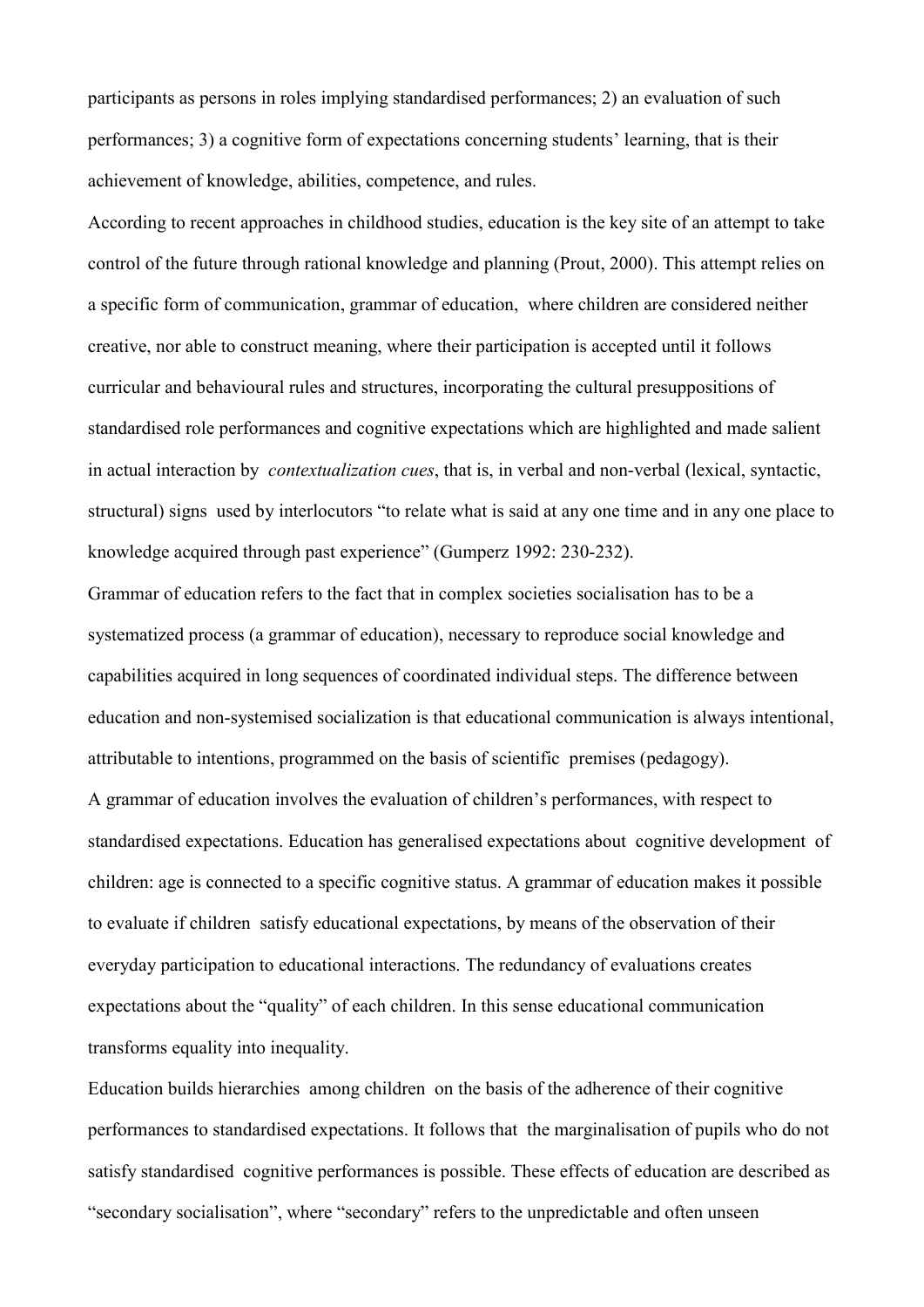participants as persons in roles implying standardised performances; 2) an evaluation of such performances; 3) a cognitive form of expectations concerning students' learning, that is their achievement of knowledge, abilities, competence, and rules.

According to recent approaches in childhood studies, education is the key site of an attempt to take control of the future through rational knowledge and planning (Prout, 2000). This attempt relies on a specific form of communication, grammar of education, where children are considered neither creative, nor able to construct meaning, where their participation is accepted until it follows curricular and behavioural rules and structures, incorporating the cultural presuppositions of standardised role performances and cognitive expectations which are highlighted and made salient in actual interaction by *contextualization cues*, that is, in verbal and non-verbal (lexical, syntactic, structural) signs used by interlocutors "to relate what is said at any one time and in any one place to knowledge acquired through past experience" (Gumperz 1992: 230-232).

Grammar of education refers to the fact that in complex societies socialisation has to be a systematized process (a grammar of education), necessary to reproduce social knowledge and capabilities acquired in long sequences of coordinated individual steps. The difference between education and non-systemised socialization is that educational communication is always intentional, attributable to intentions, programmed on the basis of scientific premises (pedagogy). A grammar of education involves the evaluation of children's performances, with respect to standardised expectations. Education has generalised expectations about cognitive development of children: age is connected to a specific cognitive status. A grammar of education makes it possible to evaluate if children satisfy educational expectations, by means of the observation of their everyday participation to educational interactions. The redundancy of evaluations creates expectations about the "quality" of each children. In this sense educational communication transforms equality into inequality.

Education builds hierarchies among children on the basis of the adherence of their cognitive performances to standardised expectations. It follows that the marginalisation of pupils who do not satisfy standardised cognitive performances is possible. These effects of education are described as "secondary socialisation", where "secondary" refers to the unpredictable and often unseen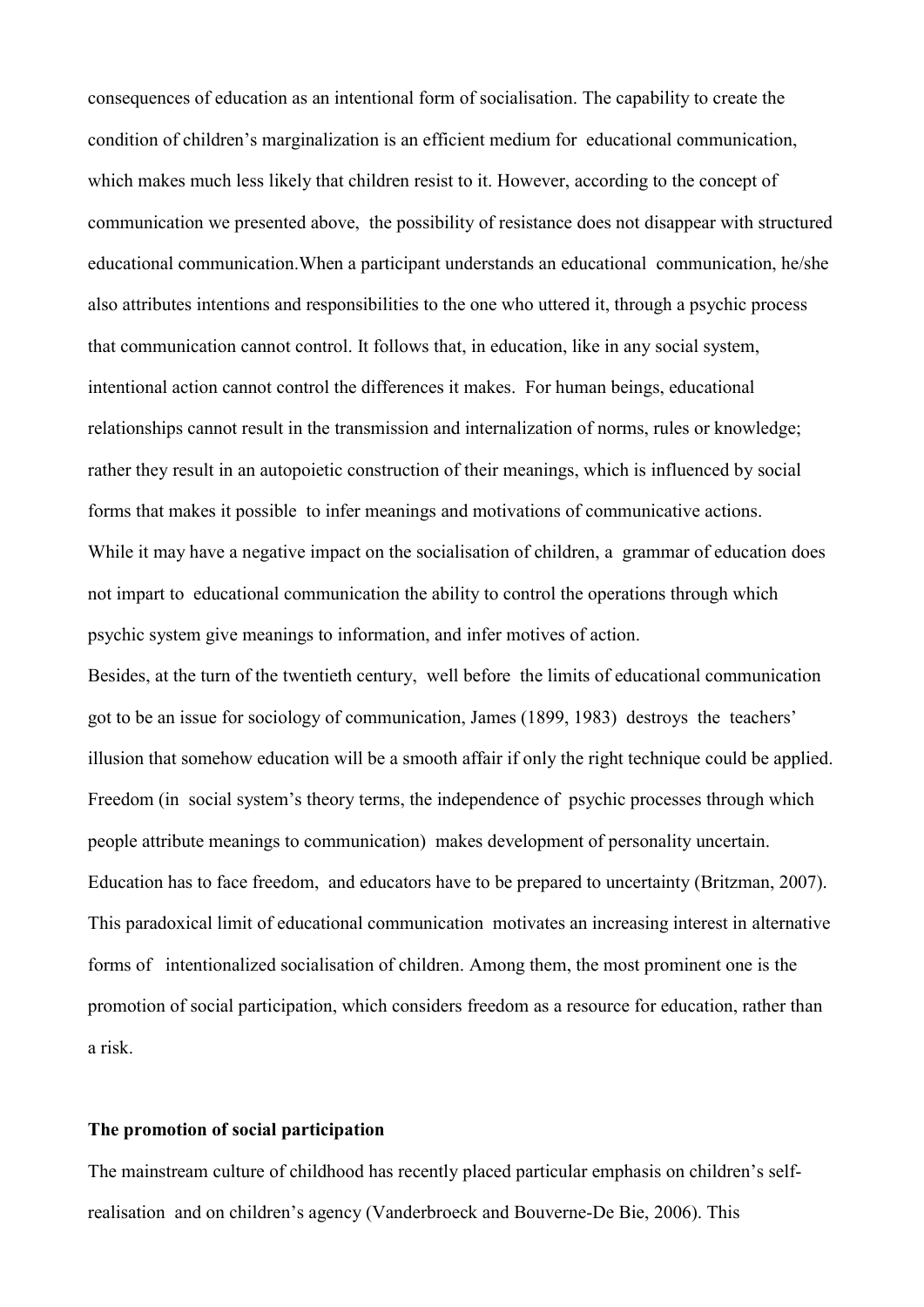consequences of education as an intentional form of socialisation. The capability to create the condition of children's marginalization is an efficient medium for educational communication, which makes much less likely that children resist to it. However, according to the concept of communication we presented above, the possibility of resistance does not disappear with structured educational communication.When a participant understands an educational communication, he/she also attributes intentions and responsibilities to the one who uttered it, through a psychic process that communication cannot control. It follows that, in education, like in any social system, intentional action cannot control the differences it makes. For human beings, educational relationships cannot result in the transmission and internalization of norms, rules or knowledge; rather they result in an autopoietic construction of their meanings, which is influenced by social forms that makes it possible to infer meanings and motivations of communicative actions. While it may have a negative impact on the socialisation of children, a grammar of education does not impart to educational communication the ability to control the operations through which psychic system give meanings to information, and infer motives of action. Besides, at the turn of the twentieth century, well before the limits of educational communication got to be an issue for sociology of communication, James (1899, 1983) destroys the teachers' illusion that somehow education will be a smooth affair if only the right technique could be applied. Freedom (in social system's theory terms, the independence of psychic processes through which people attribute meanings to communication) makes development of personality uncertain. Education has to face freedom, and educators have to be prepared to uncertainty (Britzman, 2007). This paradoxical limit of educational communication motivates an increasing interest in alternative forms of intentionalized socialisation of children. Among them, the most prominent one is the promotion of social participation, which considers freedom as a resource for education, rather than a risk.

#### **The promotion of social participation**

The mainstream culture of childhood has recently placed particular emphasis on children's selfrealisation and on children's agency (Vanderbroeck and Bouverne-De Bie, 2006). This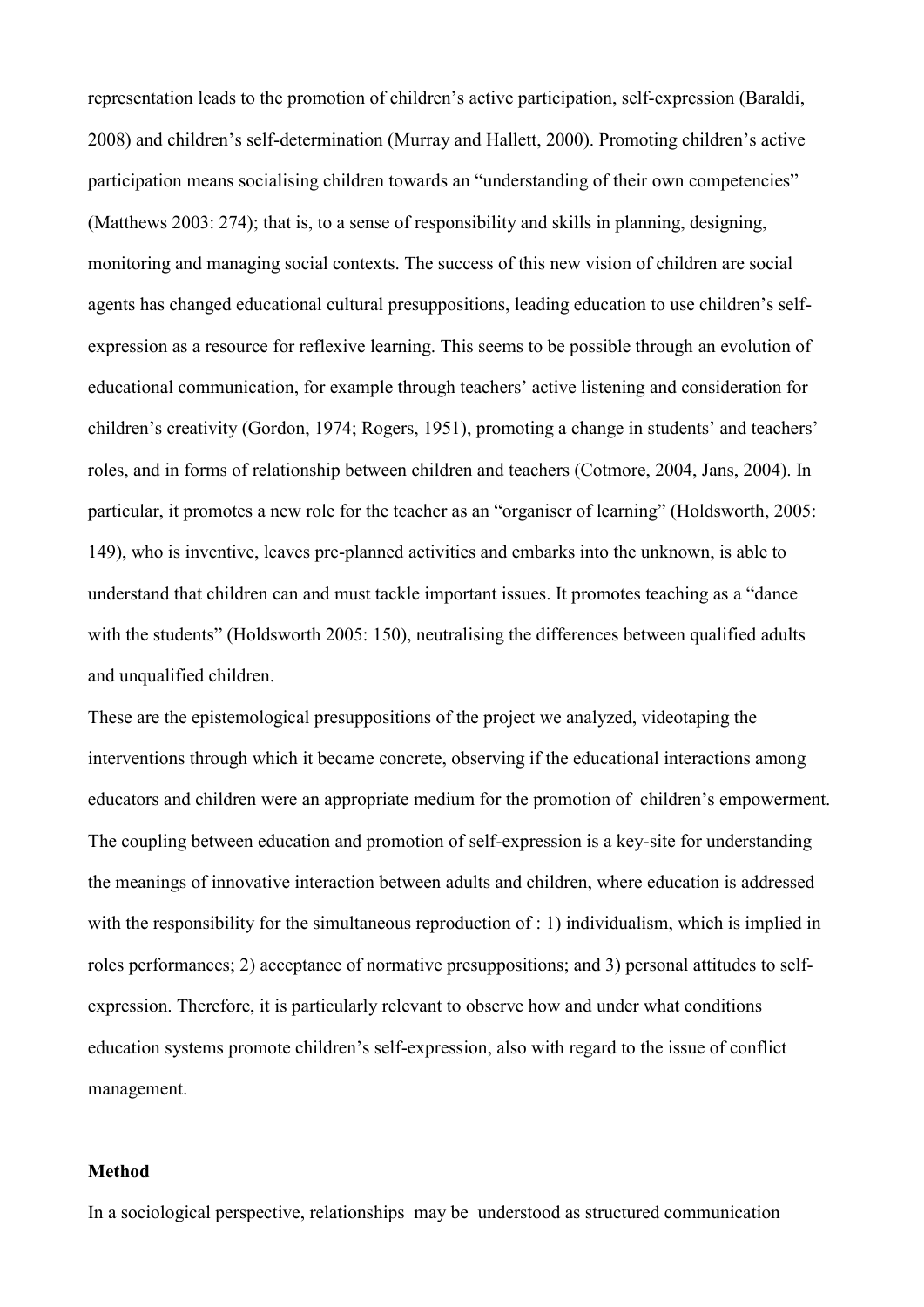representation leads to the promotion of children's active participation, self-expression (Baraldi, 2008) and children's self-determination (Murray and Hallett, 2000). Promoting children's active participation means socialising children towards an "understanding of their own competencies" (Matthews 2003: 274); that is, to a sense of responsibility and skills in planning, designing, monitoring and managing social contexts. The success of this new vision of children are social agents has changed educational cultural presuppositions, leading education to use children's selfexpression as a resource for reflexive learning. This seems to be possible through an evolution of educational communication, for example through teachers' active listening and consideration for children's creativity (Gordon, 1974; Rogers, 1951), promoting a change in students' and teachers' roles, and in forms of relationship between children and teachers (Cotmore, 2004, Jans, 2004). In particular, it promotes a new role for the teacher as an "organiser of learning" (Holdsworth, 2005: 149), who is inventive, leaves pre-planned activities and embarks into the unknown, is able to understand that children can and must tackle important issues. It promotes teaching as a "dance with the students" (Holdsworth 2005: 150), neutralising the differences between qualified adults and unqualified children.

These are the epistemological presuppositions of the project we analyzed, videotaping the interventions through which it became concrete, observing if the educational interactions among educators and children were an appropriate medium for the promotion of children's empowerment. The coupling between education and promotion of self-expression is a key-site for understanding the meanings of innovative interaction between adults and children, where education is addressed with the responsibility for the simultaneous reproduction of : 1) individualism, which is implied in roles performances; 2) acceptance of normative presuppositions; and 3) personal attitudes to selfexpression. Therefore, it is particularly relevant to observe how and under what conditions education systems promote children's self-expression, also with regard to the issue of conflict management.

#### **Method**

In a sociological perspective, relationships may be understood as structured communication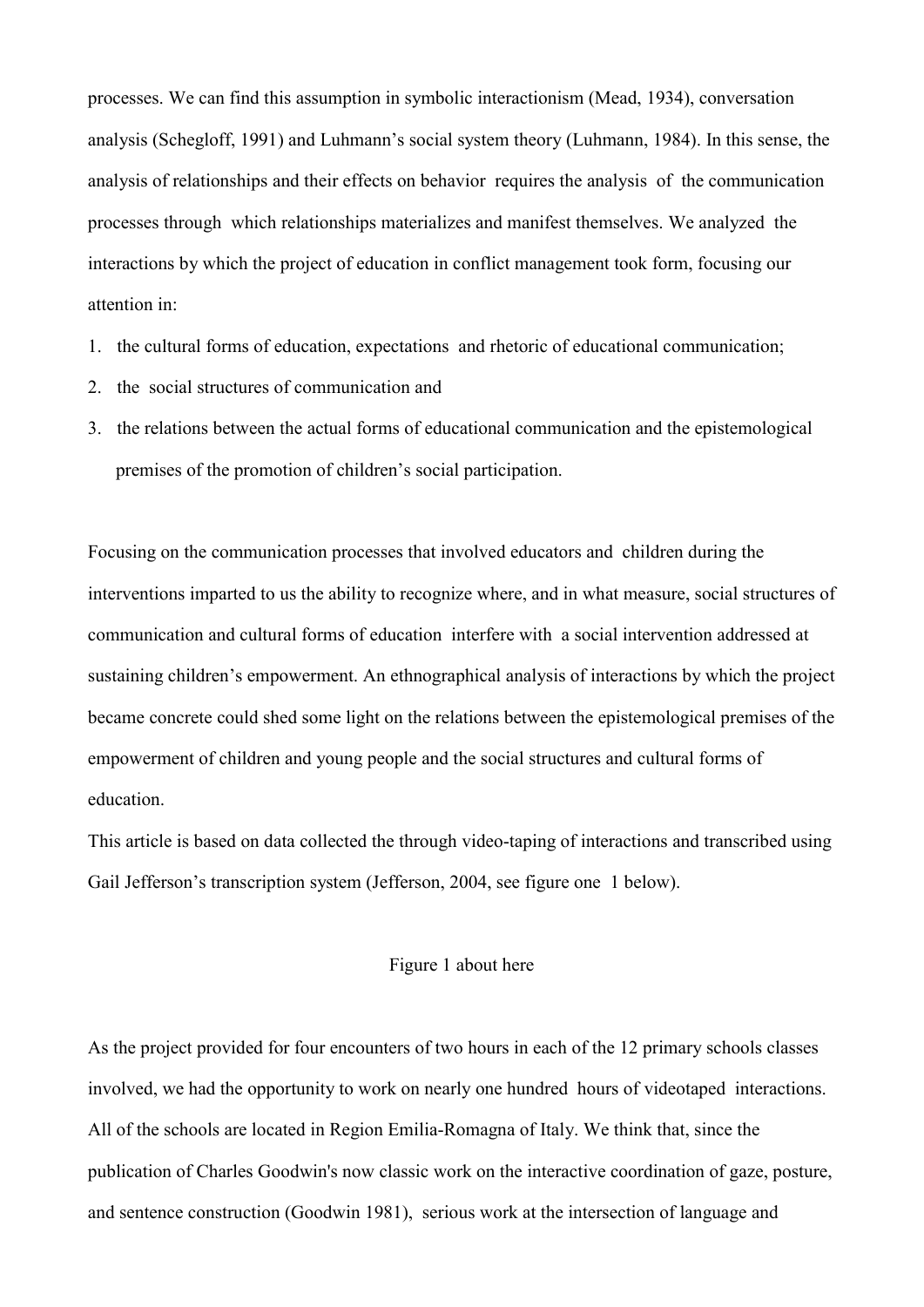processes. We can find this assumption in symbolic interactionism (Mead, 1934), conversation analysis (Schegloff, 1991) and Luhmann's social system theory (Luhmann, 1984). In this sense, the analysis of relationships and their effects on behavior requires the analysis of the communication processes through which relationships materializes and manifest themselves. We analyzed the interactions by which the project of education in conflict management took form, focusing our attention in:

- 1. the cultural forms of education, expectations and rhetoric of educational communication;
- 2. the social structures of communication and
- 3. the relations between the actual forms of educational communication and the epistemological premises of the promotion of children's social participation.

Focusing on the communication processes that involved educators and children during the interventions imparted to us the ability to recognize where, and in what measure, social structures of communication and cultural forms of education interfere with a social intervention addressed at sustaining children's empowerment. An ethnographical analysis of interactions by which the project became concrete could shed some light on the relations between the epistemological premises of the empowerment of children and young people and the social structures and cultural forms of education.

This article is based on data collected the through video-taping of interactions and transcribed using Gail Jefferson's transcription system (Jefferson, 2004, see figure one 1 below).

## Figure 1 about here

As the project provided for four encounters of two hours in each of the 12 primary schools classes involved, we had the opportunity to work on nearly one hundred hours of videotaped interactions. All of the schools are located in Region Emilia-Romagna of Italy. We think that, since the publication of Charles Goodwin's now classic work on the interactive coordination of gaze, posture, and sentence construction (Goodwin 1981), serious work at the intersection of language and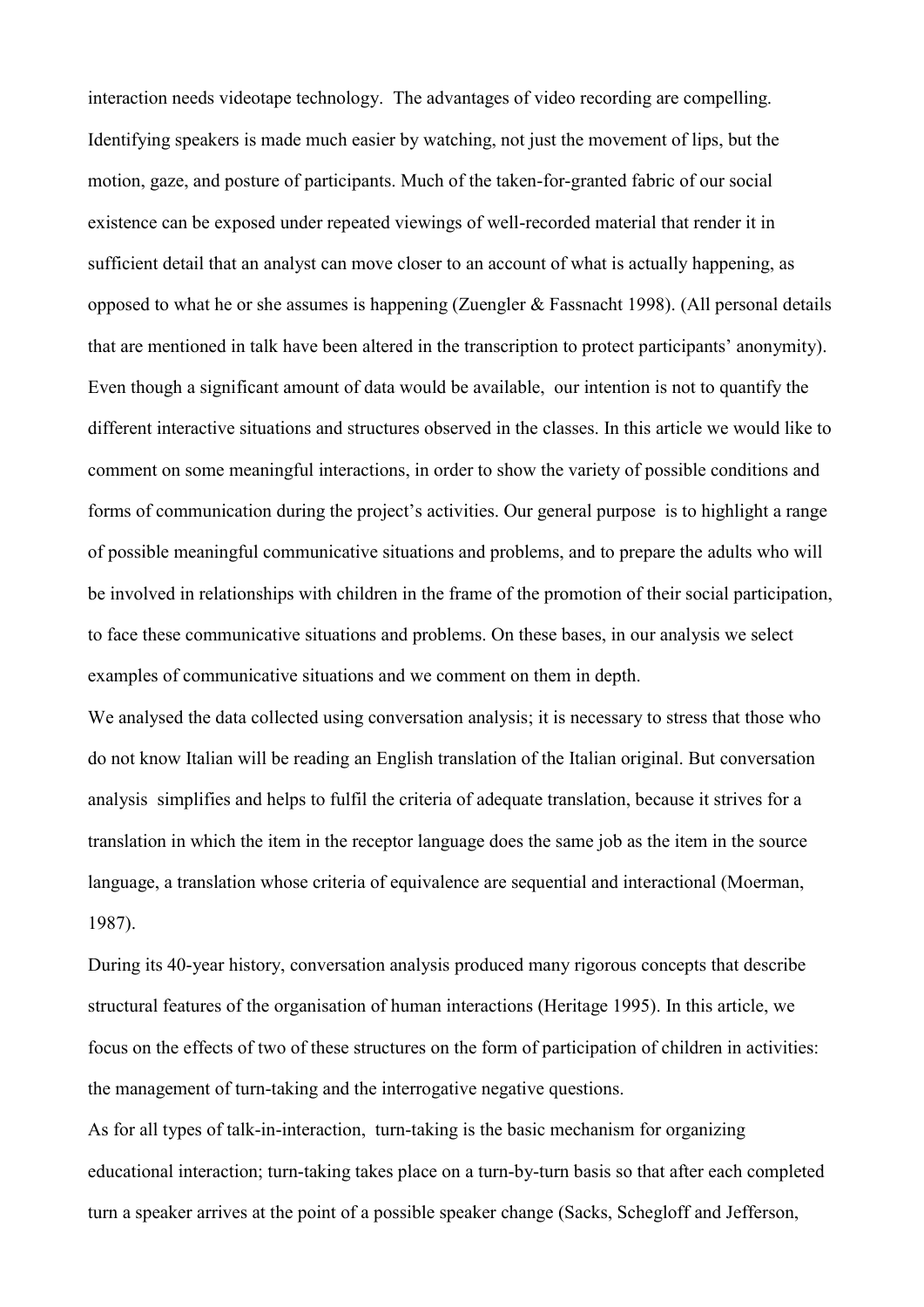interaction needs videotape technology. The advantages of video recording are compelling. Identifying speakers is made much easier by watching, not just the movement of lips, but the motion, gaze, and posture of participants. Much of the taken-for-granted fabric of our social existence can be exposed under repeated viewings of well-recorded material that render it in sufficient detail that an analyst can move closer to an account of what is actually happening, as opposed to what he or she assumes is happening (Zuengler & Fassnacht 1998). (All personal details that are mentioned in talk have been altered in the transcription to protect participants' anonymity). Even though a significant amount of data would be available, our intention is not to quantify the different interactive situations and structures observed in the classes. In this article we would like to comment on some meaningful interactions, in order to show the variety of possible conditions and forms of communication during the project's activities. Our general purpose is to highlight a range of possible meaningful communicative situations and problems, and to prepare the adults who will be involved in relationships with children in the frame of the promotion of their social participation, to face these communicative situations and problems. On these bases, in our analysis we select examples of communicative situations and we comment on them in depth.

We analysed the data collected using conversation analysis; it is necessary to stress that those who do not know Italian will be reading an English translation of the Italian original. But conversation analysis simplifies and helps to fulfil the criteria of adequate translation, because it strives for a translation in which the item in the receptor language does the same job as the item in the source language, a translation whose criteria of equivalence are sequential and interactional (Moerman, 1987).

During its 40-year history, conversation analysis produced many rigorous concepts that describe structural features of the organisation of human interactions (Heritage 1995). In this article, we focus on the effects of two of these structures on the form of participation of children in activities: the management of turn-taking and the interrogative negative questions.

As for all types of talk-in-interaction, turn-taking is the basic mechanism for organizing educational interaction; turn-taking takes place on a turn-by-turn basis so that after each completed turn a speaker arrives at the point of a possible speaker change (Sacks, Schegloff and Jefferson,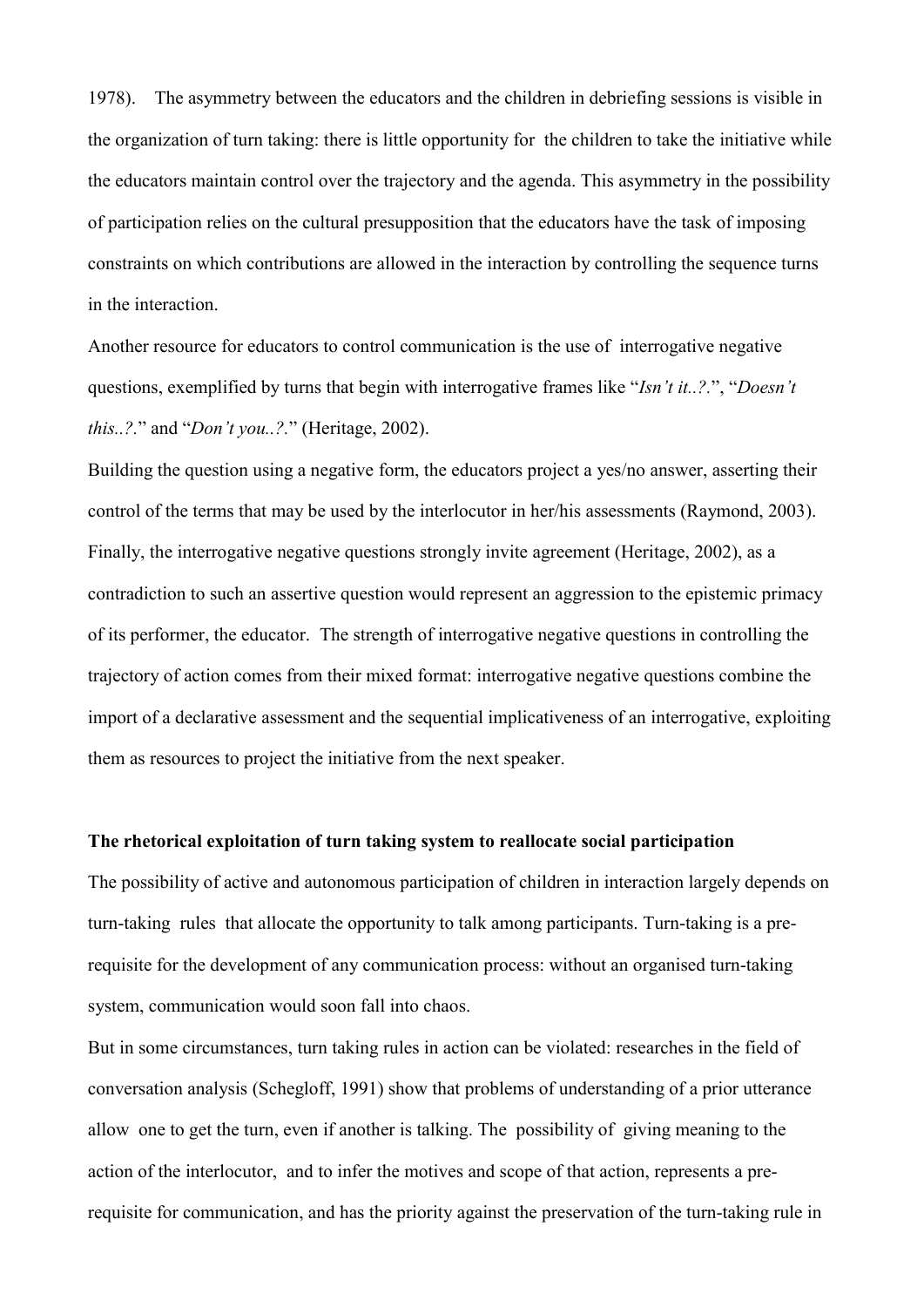1978). The asymmetry between the educators and the children in debriefing sessions is visible in the organization of turn taking: there is little opportunity for the children to take the initiative while the educators maintain control over the trajectory and the agenda. This asymmetry in the possibility of participation relies on the cultural presupposition that the educators have the task of imposing constraints on which contributions are allowed in the interaction by controlling the sequence turns in the interaction.

Another resource for educators to control communication is the use of interrogative negative questions, exemplified by turns that begin with interrogative frames like "*Isn't it..?.*", "*Doesn't this..?.*" and "*Don't you..?.*" (Heritage, 2002).

Building the question using a negative form, the educators project a yes/no answer, asserting their control of the terms that may be used by the interlocutor in her/his assessments (Raymond, 2003). Finally, the interrogative negative questions strongly invite agreement (Heritage, 2002), as a contradiction to such an assertive question would represent an aggression to the epistemic primacy of its performer, the educator. The strength of interrogative negative questions in controlling the trajectory of action comes from their mixed format: interrogative negative questions combine the import of a declarative assessment and the sequential implicativeness of an interrogative, exploiting them as resources to project the initiative from the next speaker.

## **The rhetorical exploitation of turn taking system to reallocate social participation**

The possibility of active and autonomous participation of children in interaction largely depends on turn-taking rules that allocate the opportunity to talk among participants. Turn-taking is a prerequisite for the development of any communication process: without an organised turn-taking system, communication would soon fall into chaos.

But in some circumstances, turn taking rules in action can be violated: researches in the field of conversation analysis (Schegloff, 1991) show that problems of understanding of a prior utterance allow one to get the turn, even if another is talking. The possibility of giving meaning to the action of the interlocutor, and to infer the motives and scope of that action, represents a prerequisite for communication, and has the priority against the preservation of the turn-taking rule in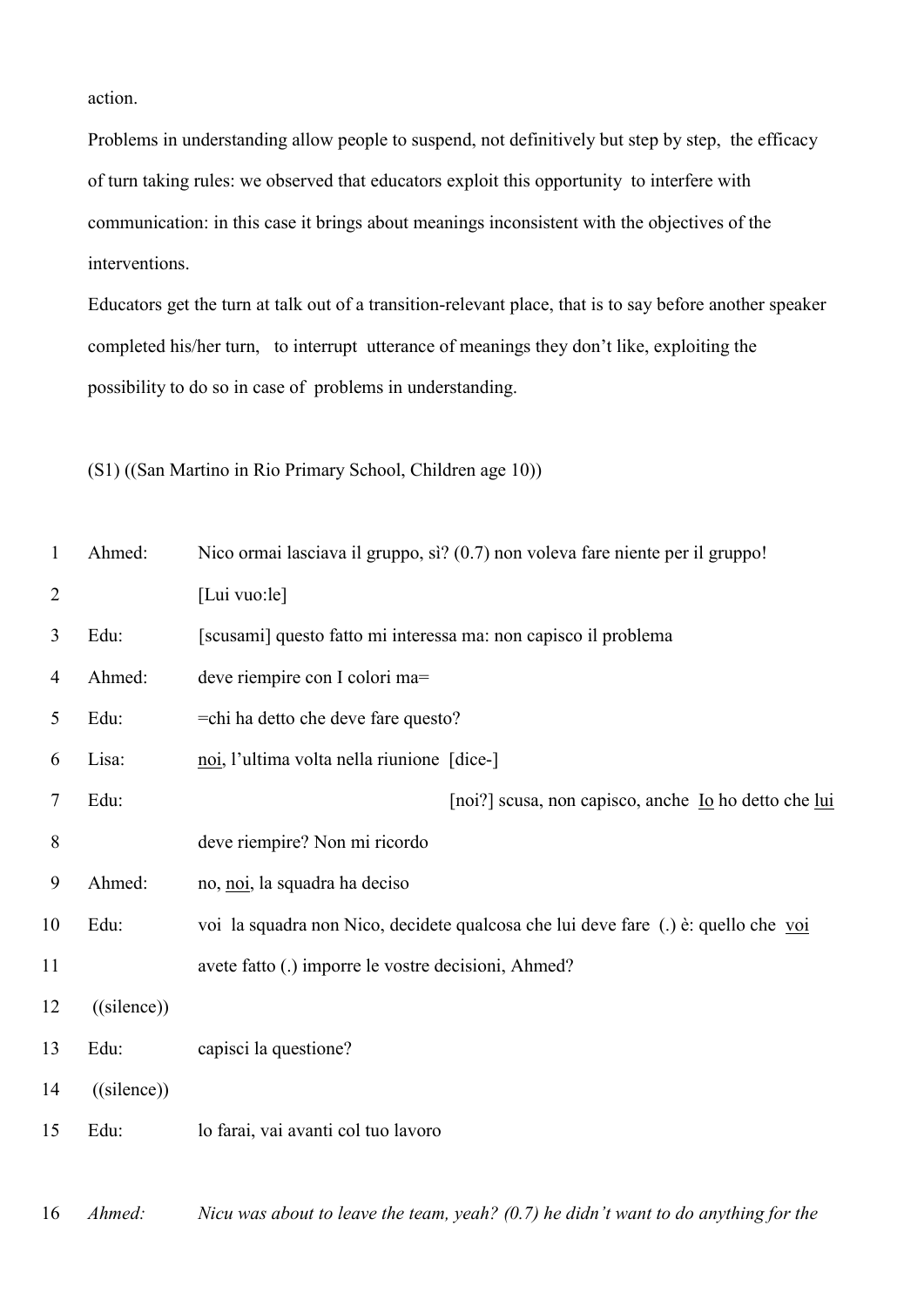action.

Problems in understanding allow people to suspend, not definitively but step by step, the efficacy of turn taking rules: we observed that educators exploit this opportunity to interfere with communication: in this case it brings about meanings inconsistent with the objectives of the interventions.

Educators get the turn at talk out of a transition-relevant place, that is to say before another speaker completed his/her turn, to interrupt utterance of meanings they don't like, exploiting the possibility to do so in case of problems in understanding.

(S1) ((San Martino in Rio Primary School, Children age 10))

| 1              | Ahmed:         | Nico ormai lasciava il gruppo, sì? (0.7) non voleva fare niente per il gruppo!     |
|----------------|----------------|------------------------------------------------------------------------------------|
| $\overline{2}$ |                | [Lui vuo:le]                                                                       |
| 3              | Edu:           | [scusami] questo fatto mi interessa ma: non capisco il problema                    |
| $\overline{4}$ | Ahmed:         | deve riempire con I colori ma=                                                     |
| 5              | Edu:           | =chi ha detto che deve fare questo?                                                |
| 6              | Lisa:          | noi, l'ultima volta nella riunione [dice-]                                         |
| 7              | Edu:           | [noi?] scusa, non capisco, anche <u>Io</u> ho detto che lui                        |
| 8              |                | deve riempire? Non mi ricordo                                                      |
| 9              | Ahmed:         | no, noi, la squadra ha deciso                                                      |
| 10             | Edu:           | voi la squadra non Nico, decidete qualcosa che lui deve fare (.) è: quello che voi |
| 11             |                | avete fatto (.) imporre le vostre decisioni, Ahmed?                                |
| 12             | $($ (silence)) |                                                                                    |
| 13             | Edu:           | capisci la questione?                                                              |
| 14             | $($ (silence)) |                                                                                    |
| 15             | Edu:           | lo farai, vai avanti col tuo lavoro                                                |
|                |                |                                                                                    |

*Ahmed: Nicu was about to leave the team, yeah? (0.7) he didn't want to do anything for the*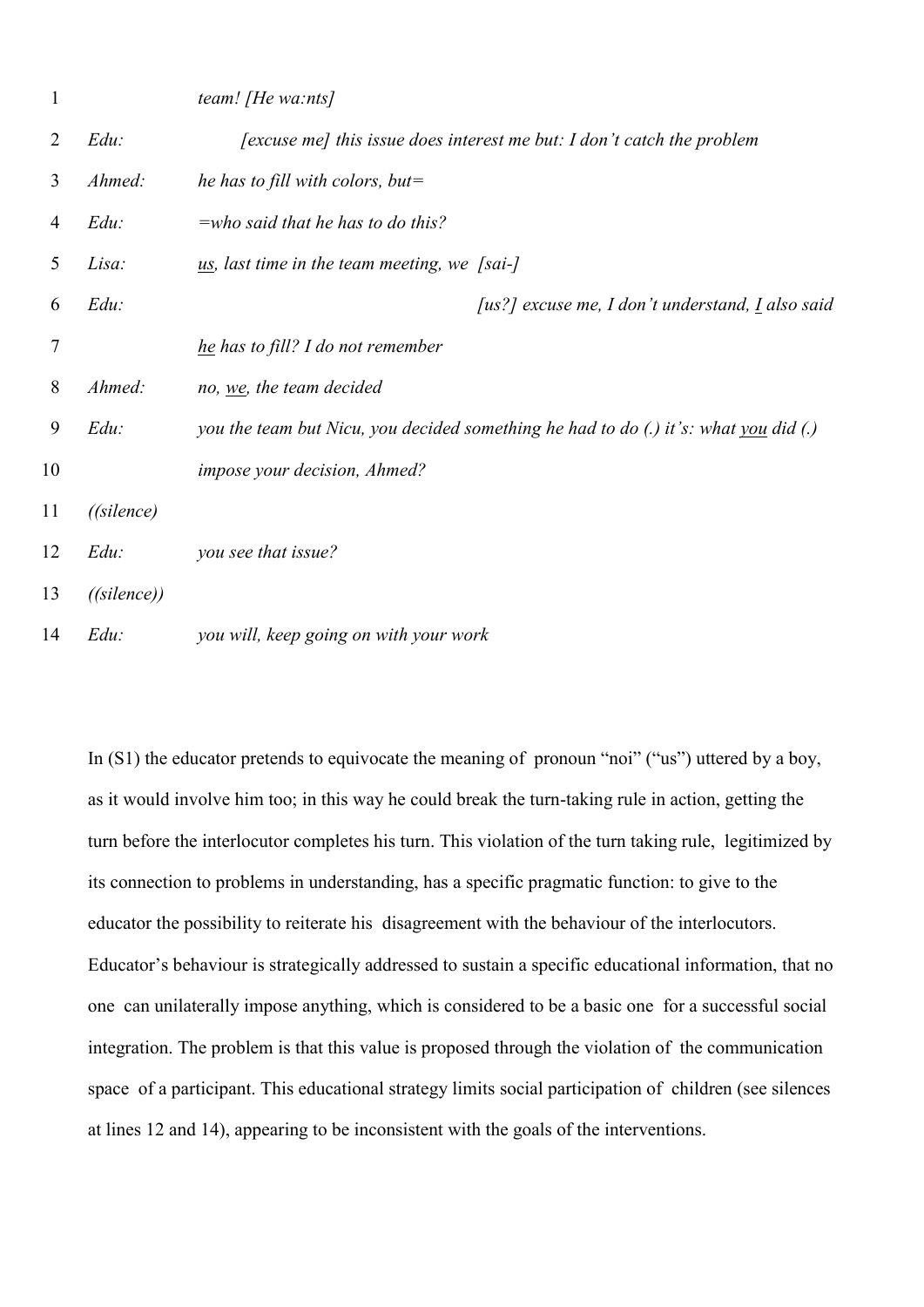| $\mathbf{1}$ |             | team! [He wa:nts]                                                                    |
|--------------|-------------|--------------------------------------------------------------------------------------|
| 2            | $Edu$ :     | [excuse me] this issue does interest me but: I don't catch the problem               |
| 3            | Ahmed:      | he has to fill with colors, but=                                                     |
| 4            | $Edu$ :     | $=$ who said that he has to do this?                                                 |
| 5            | Lisa:       | $us$ , last time in the team meeting, we [sai-]                                      |
| 6            | $Edu$ :     | [us?] excuse me, I don't understand, $I$ also said                                   |
| 7            |             | he has to fill? I do not remember                                                    |
| 8            | Ahmed:      | no, we, the team decided                                                             |
| 9            | $Edu$ :     | you the team but Nicu, you decided something he had to do (.) it's: what you did (.) |
| 10           |             | impose your decision, Ahmed?                                                         |
| 11           | ( (silence) |                                                                                      |
| 12           | $Edu$ :     | you see that issue?                                                                  |
| 13           | ((silence)) |                                                                                      |
| 14           | Edu:        | you will, keep going on with your work                                               |

In (S1) the educator pretends to equivocate the meaning of pronoun "noi" ("us") uttered by a boy, as it would involve him too; in this way he could break the turn-taking rule in action, getting the turn before the interlocutor completes his turn. This violation of the turn taking rule, legitimized by its connection to problems in understanding, has a specific pragmatic function: to give to the educator the possibility to reiterate his disagreement with the behaviour of the interlocutors. Educator's behaviour is strategically addressed to sustain a specific educational information, that no one can unilaterally impose anything, which is considered to be a basic one for a successful social integration. The problem is that this value is proposed through the violation of the communication space of a participant. This educational strategy limits social participation of children (see silences at lines 12 and 14), appearing to be inconsistent with the goals of the interventions.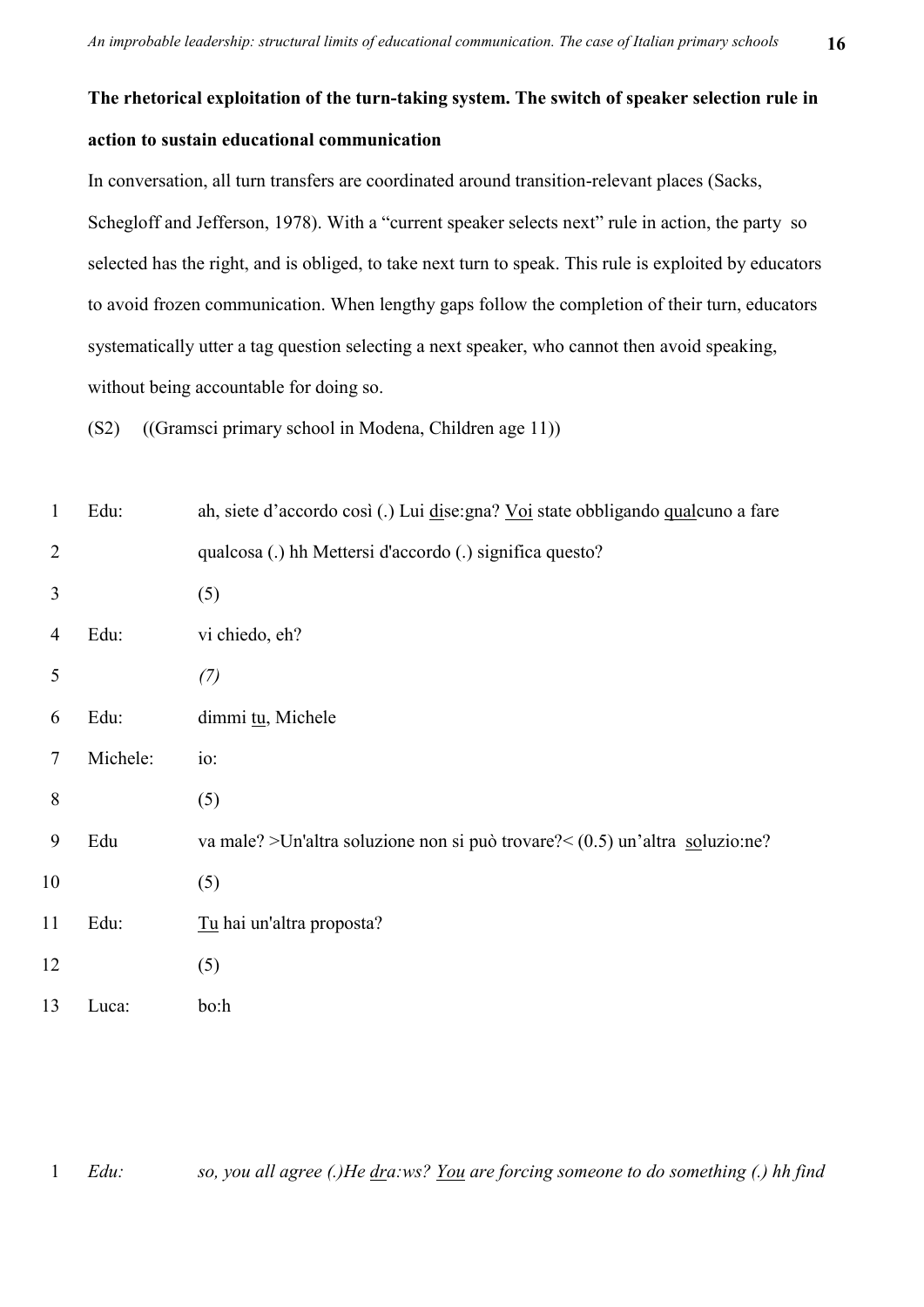# **The rhetorical exploitation of the turn-taking system. The switch of speaker selection rule in action to sustain educational communication**

In conversation, all turn transfers are coordinated around transition-relevant places (Sacks, Schegloff and Jefferson, 1978). With a "current speaker selects next" rule in action, the party so selected has the right, and is obliged, to take next turn to speak. This rule is exploited by educators to avoid frozen communication. When lengthy gaps follow the completion of their turn, educators systematically utter a tag question selecting a next speaker, who cannot then avoid speaking, without being accountable for doing so.

(S2) ((Gramsci primary school in Modena, Children age 11))

| $\mathbf{1}$   | Edu:     | ah, siete d'accordo così (.) Lui dise: gna? Voi state obbligando qualcuno a fare |
|----------------|----------|----------------------------------------------------------------------------------|
| $\overline{2}$ |          | qualcosa (.) hh Mettersi d'accordo (.) significa questo?                         |
| 3              |          | (5)                                                                              |
| $\overline{4}$ | Edu:     | vi chiedo, eh?                                                                   |
| 5              |          | (7)                                                                              |
| 6              | Edu:     | dimmi tu, Michele                                                                |
| 7              | Michele: | io:                                                                              |
| 8              |          | (5)                                                                              |
| 9              | Edu      | va male? >Un'altra soluzione non si può trovare? $(0.5)$ un'altra soluzio:ne?    |
| 10             |          | (5)                                                                              |
| 11             | Edu:     | Tu hai un'altra proposta?                                                        |
| 12             |          | (5)                                                                              |
| 13             | Luca:    | bo:h                                                                             |

1 *Edu: so, you all agree (.)He dra:ws? You are forcing someone to do something (.) hh find*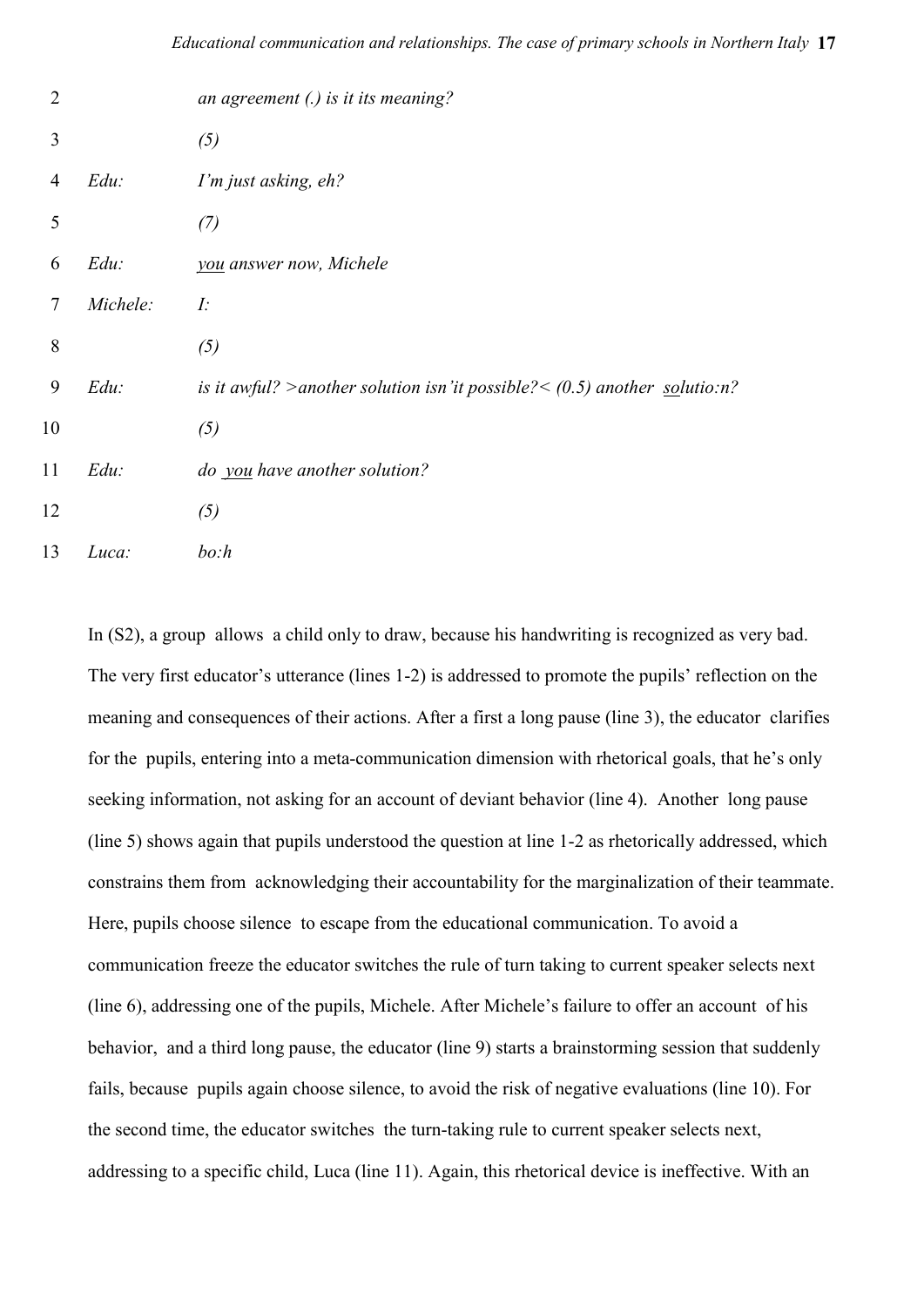| $\overline{2}$ |          | an agreement $(.)$ is it its meaning?                                       |
|----------------|----------|-----------------------------------------------------------------------------|
| $\mathfrak{Z}$ |          | $(5)$                                                                       |
| $\overline{4}$ | $Edu$ :  | I'm just asking, eh?                                                        |
| 5              |          | (7)                                                                         |
| 6              | $Edu$ :  | you answer now, Michele                                                     |
| 7              | Michele: | I:                                                                          |
| 8              |          | $(5)$                                                                       |
| 9              | Edu:     | is it awful? > another solution isn'it possible? $(0.5)$ another solutio:n? |
| 10             |          | $(5)$                                                                       |
| 11             | $Edu$ :  | <i>do</i> you have another solution?                                        |
| 12             |          | (5)                                                                         |
| 13             | Luca:    | bo:h                                                                        |

In (S2), a group allows a child only to draw, because his handwriting is recognized as very bad. The very first educator's utterance (lines 1-2) is addressed to promote the pupils' reflection on the meaning and consequences of their actions. After a first a long pause (line 3), the educator clarifies for the pupils, entering into a meta-communication dimension with rhetorical goals, that he's only seeking information, not asking for an account of deviant behavior (line 4). Another long pause (line 5) shows again that pupils understood the question at line 1-2 as rhetorically addressed, which constrains them from acknowledging their accountability for the marginalization of their teammate. Here, pupils choose silence to escape from the educational communication. To avoid a communication freeze the educator switches the rule of turn taking to current speaker selects next (line 6), addressing one of the pupils, Michele. After Michele's failure to offer an account of his behavior, and a third long pause, the educator (line 9) starts a brainstorming session that suddenly fails, because pupils again choose silence, to avoid the risk of negative evaluations (line 10). For the second time, the educator switches the turn-taking rule to current speaker selects next, addressing to a specific child, Luca (line 11). Again, this rhetorical device is ineffective. With an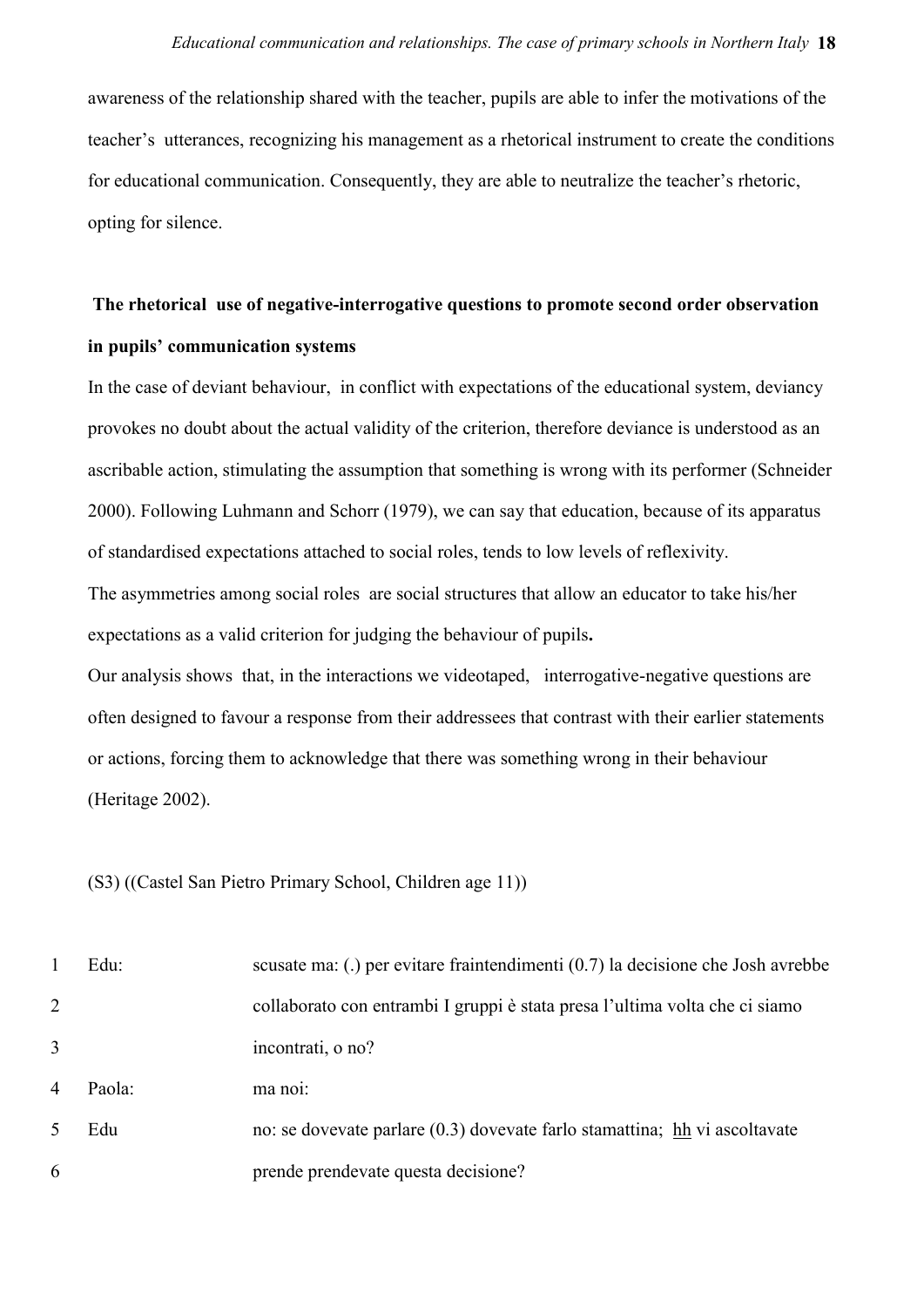awareness of the relationship shared with the teacher, pupils are able to infer the motivations of the teacher's utterances, recognizing his management as a rhetorical instrument to create the conditions for educational communication. Consequently, they are able to neutralize the teacher's rhetoric, opting for silence.

# **The rhetorical use of negative-interrogative questions to promote second order observation in pupils' communication systems**

In the case of deviant behaviour, in conflict with expectations of the educational system, deviancy provokes no doubt about the actual validity of the criterion, therefore deviance is understood as an ascribable action, stimulating the assumption that something is wrong with its performer (Schneider 2000). Following Luhmann and Schorr (1979), we can say that education, because of its apparatus of standardised expectations attached to social roles, tends to low levels of reflexivity.

The asymmetries among social roles are social structures that allow an educator to take his/her expectations as a valid criterion for judging the behaviour of pupils**.**

Our analysis shows that, in the interactions we videotaped, interrogative-negative questions are often designed to favour a response from their addressees that contrast with their earlier statements or actions, forcing them to acknowledge that there was something wrong in their behaviour (Heritage 2002).

# (S3) ((Castel San Pietro Primary School, Children age 11))

|                | Edu:   | scusate ma: (.) per evitare fraintendimenti $(0.7)$ la decisione che Josh avrebbe |
|----------------|--------|-----------------------------------------------------------------------------------|
| $\overline{2}$ |        | collaborato con entrambi I gruppi è stata presa l'ultima volta che ci siamo       |
| 3              |        | incontrati, o no?                                                                 |
| 4              | Paola: | ma noi:                                                                           |
| 5.             | Edu    | no: se dovevate parlare (0.3) dovevate farlo stamattina; hh vi ascoltavate        |
| 6              |        | prende prendevate questa decisione?                                               |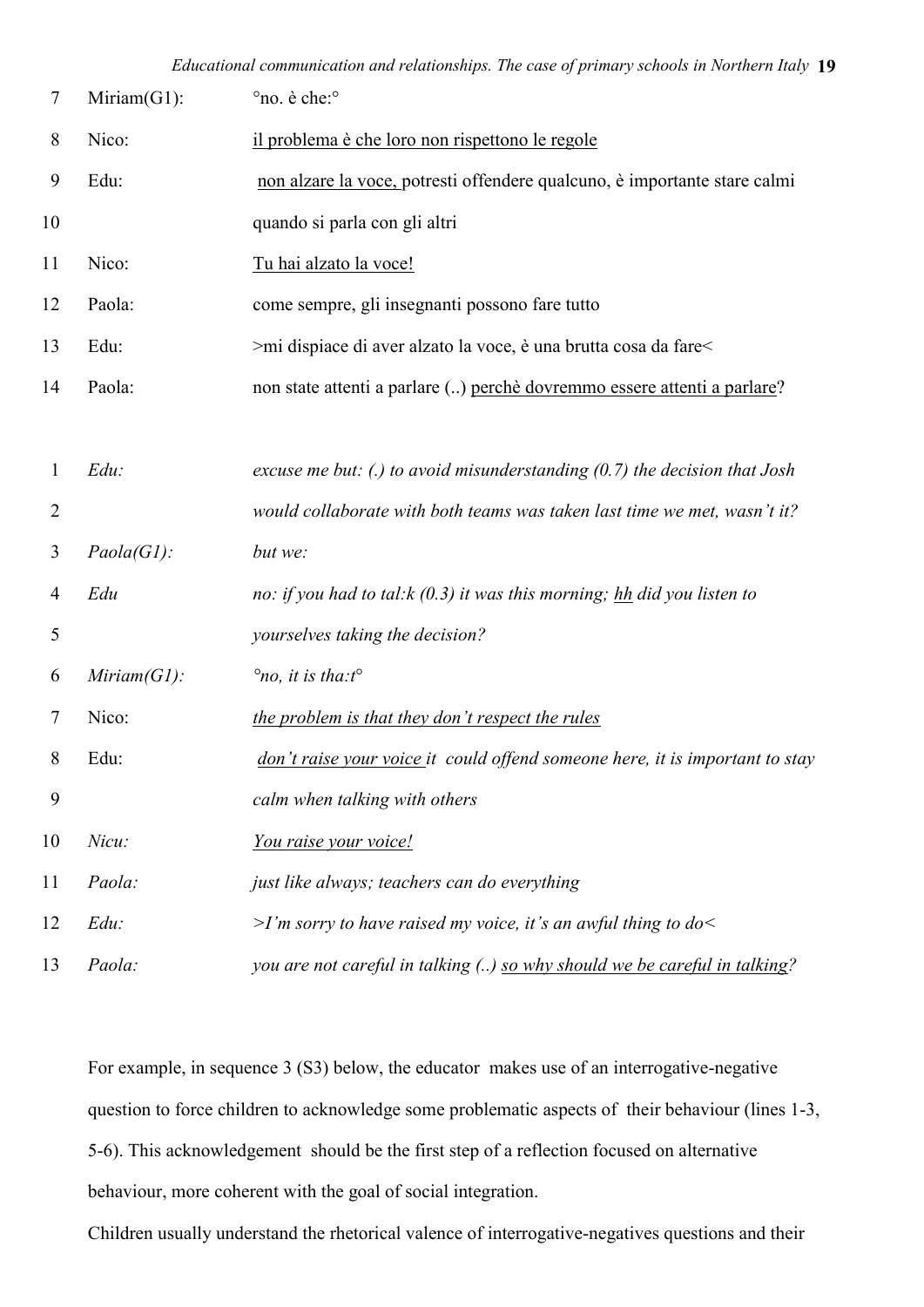| 7              | Miriam(G1):    | °no. è che:°                                                                 |
|----------------|----------------|------------------------------------------------------------------------------|
| 8              | Nico:          | il problema è che loro non rispettono le regole                              |
| 9              | Edu:           | non alzare la voce, potresti offendere qualcuno, è importante stare calmi    |
| 10             |                | quando si parla con gli altri                                                |
| 11             | Nico:          | Tu hai alzato la voce!                                                       |
| 12             | Paola:         | come sempre, gli insegnanti possono fare tutto                               |
| 13             | Edu:           | >mi dispiace di aver alzato la voce, è una brutta cosa da fare<              |
| 14             | Paola:         | non state attenti a parlare () perchè dovremmo essere attenti a parlare?     |
|                |                |                                                                              |
| 1              | $Edu$ :        | excuse me but: (.) to avoid misunderstanding $(0.7)$ the decision that Josh  |
| $\overline{2}$ |                | would collaborate with both teams was taken last time we met, wasn't it?     |
| 3              | $Paola(G1)$ :  | but we:                                                                      |
| 4              | Edu            | no: if you had to tal: $k(0.3)$ it was this morning; hh did you listen to    |
| 5              |                | yourselves taking the decision?                                              |
| 6              | $Miriam(GI)$ : | $^{\circ}$ no, it is tha:t $^{\circ}$                                        |
| 7              | Nico:          | the problem is that they don't respect the rules                             |
| 8              | Edu:           | don't raise your voice it could offend someone here, it is important to stay |
| 9              |                | calm when talking with others                                                |
| 10             | Nicu:          | You raise your voice!                                                        |
| 11             | Paola:         | just like always; teachers can do everything                                 |
| 12             | Edu:           | $>$ I'm sorry to have raised my voice, it's an awful thing to do             |
| 13             | Paola:         | you are not careful in talking () so why should we be careful in talking?    |

For example, in sequence 3 (S3) below, the educator makes use of an interrogative-negative question to force children to acknowledge some problematic aspects of their behaviour (lines 1-3, 5-6). This acknowledgement should be the first step of a reflection focused on alternative behaviour, more coherent with the goal of social integration.

Children usually understand the rhetorical valence of interrogative-negatives questions and their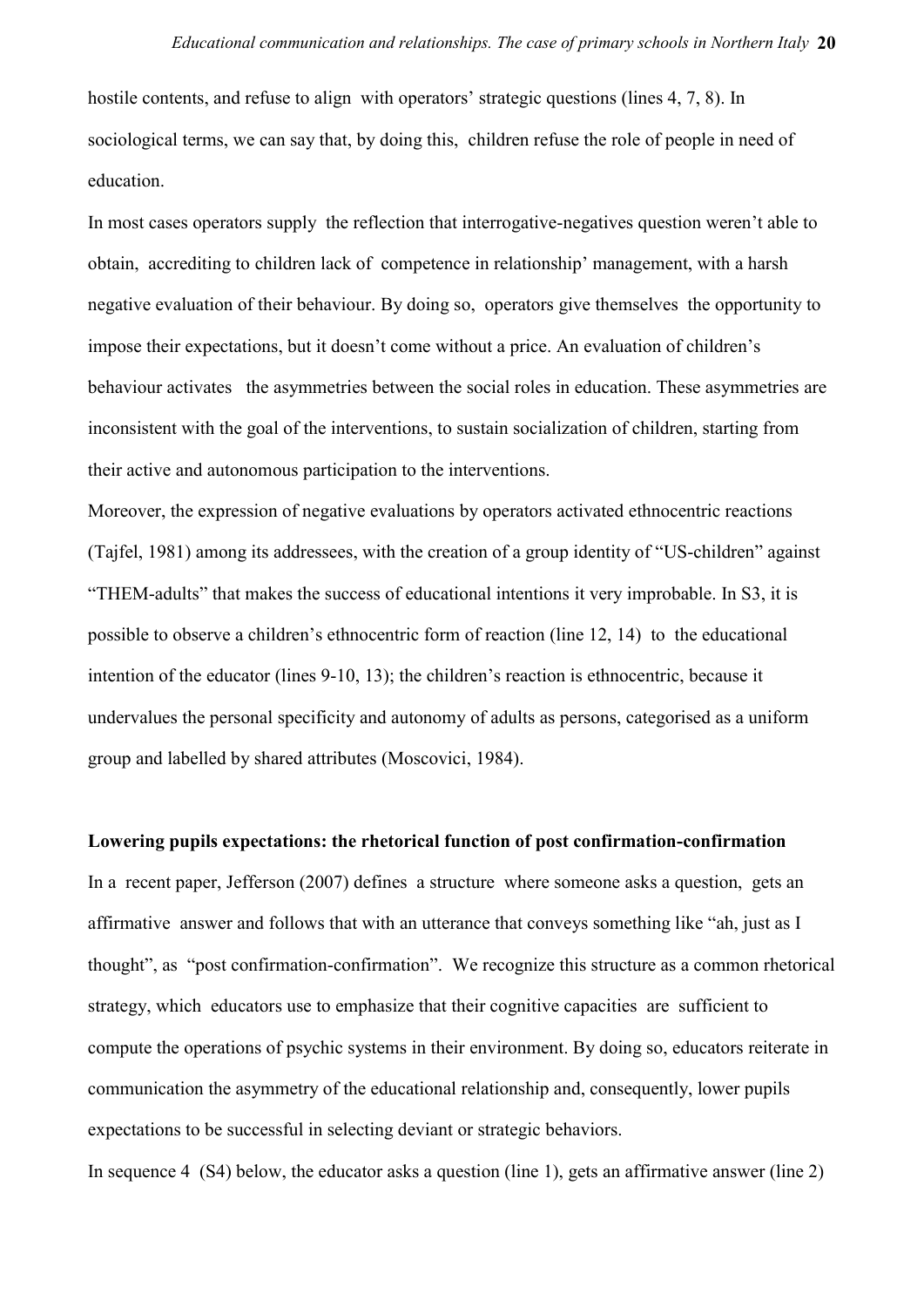hostile contents, and refuse to align with operators' strategic questions (lines 4, 7, 8). In sociological terms, we can say that, by doing this, children refuse the role of people in need of education.

In most cases operators supply the reflection that interrogative-negatives question weren't able to obtain, accrediting to children lack of competence in relationship' management, with a harsh negative evaluation of their behaviour. By doing so, operators give themselves the opportunity to impose their expectations, but it doesn't come without a price. An evaluation of children's behaviour activates the asymmetries between the social roles in education. These asymmetries are inconsistent with the goal of the interventions, to sustain socialization of children, starting from their active and autonomous participation to the interventions.

Moreover, the expression of negative evaluations by operators activated ethnocentric reactions (Tajfel, 1981) among its addressees, with the creation of a group identity of "US-children" against "THEM-adults" that makes the success of educational intentions it very improbable. In S3, it is possible to observe a children's ethnocentric form of reaction (line 12, 14) to the educational intention of the educator (lines 9-10, 13); the children's reaction is ethnocentric, because it undervalues the personal specificity and autonomy of adults as persons, categorised as a uniform group and labelled by shared attributes (Moscovici, 1984).

**Lowering pupils expectations: the rhetorical function of post confirmation-confirmation** In a recent paper, Jefferson (2007) defines a structure where someone asks a question, gets an affirmative answer and follows that with an utterance that conveys something like "ah, just as I thought", as "post confirmation-confirmation". We recognize this structure as a common rhetorical strategy, which educators use to emphasize that their cognitive capacities are sufficient to compute the operations of psychic systems in their environment. By doing so, educators reiterate in communication the asymmetry of the educational relationship and, consequently, lower pupils expectations to be successful in selecting deviant or strategic behaviors.

In sequence 4 (S4) below, the educator asks a question (line 1), gets an affirmative answer (line 2)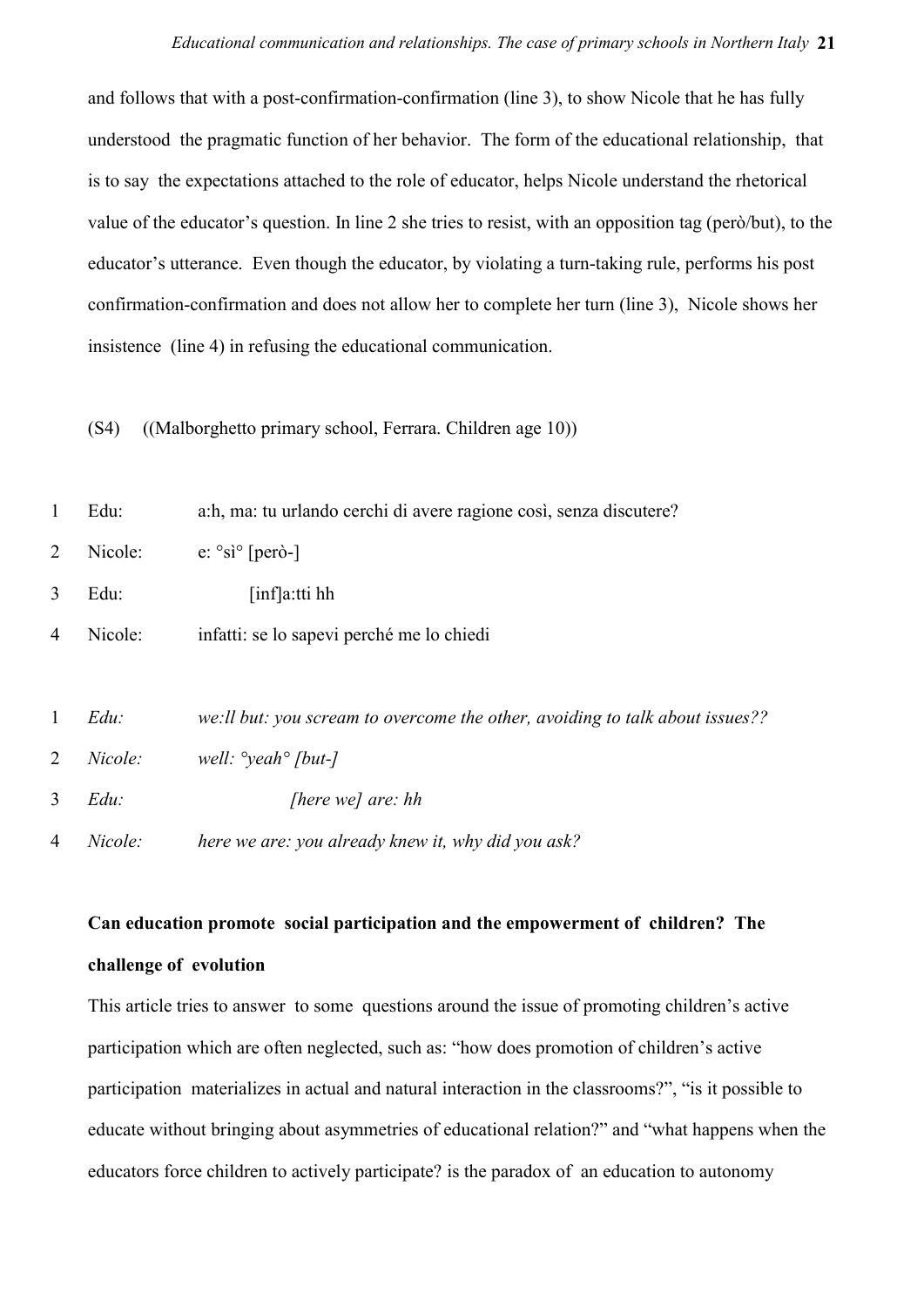and follows that with a post-confirmation-confirmation (line 3), to show Nicole that he has fully understood the pragmatic function of her behavior. The form of the educational relationship, that is to say the expectations attached to the role of educator, helps Nicole understand the rhetorical value of the educator's question. In line 2 she tries to resist, with an opposition tag (però/but), to the educator's utterance. Even though the educator, by violating a turn-taking rule, performs his post confirmation-confirmation and does not allow her to complete her turn (line 3), Nicole shows her insistence (line 4) in refusing the educational communication.

(S4) ((Malborghetto primary school, Ferrara. Children age 10))

| $\mathbf{1}$   | Edu:    | a:h, ma: tu urlando cerchi di avere ragione così, senza discutere?            |
|----------------|---------|-------------------------------------------------------------------------------|
| 2              | Nicole: | e: $\degree$ sì $\degree$ [però-]                                             |
| 3              | Edu:    | $\int \inf  a:tti $ hh                                                        |
| 4              | Nicole: | infatti: se lo sapevi perché me lo chiedi                                     |
|                |         |                                                                               |
| $\mathbf{1}$   | $Edu$ : | we: Il but: you scream to overcome the other, avoiding to talk about issues?? |
| $\overline{2}$ | Nicole: | well: $\degree$ yeah $\degree$ [but-]                                         |
| 3              | $Edu$ : | [here we] are: $hh$                                                           |
| 4              | Nicole: | here we are: you already knew it, why did you ask?                            |

**Can education promote social participation and the empowerment of children? The challenge of evolution**

This article tries to answer to some questions around the issue of promoting children's active participation which are often neglected, such as: "how does promotion of children's active participation materializes in actual and natural interaction in the classrooms?", "is it possible to educate without bringing about asymmetries of educational relation?" and "what happens when the educators force children to actively participate? is the paradox of an education to autonomy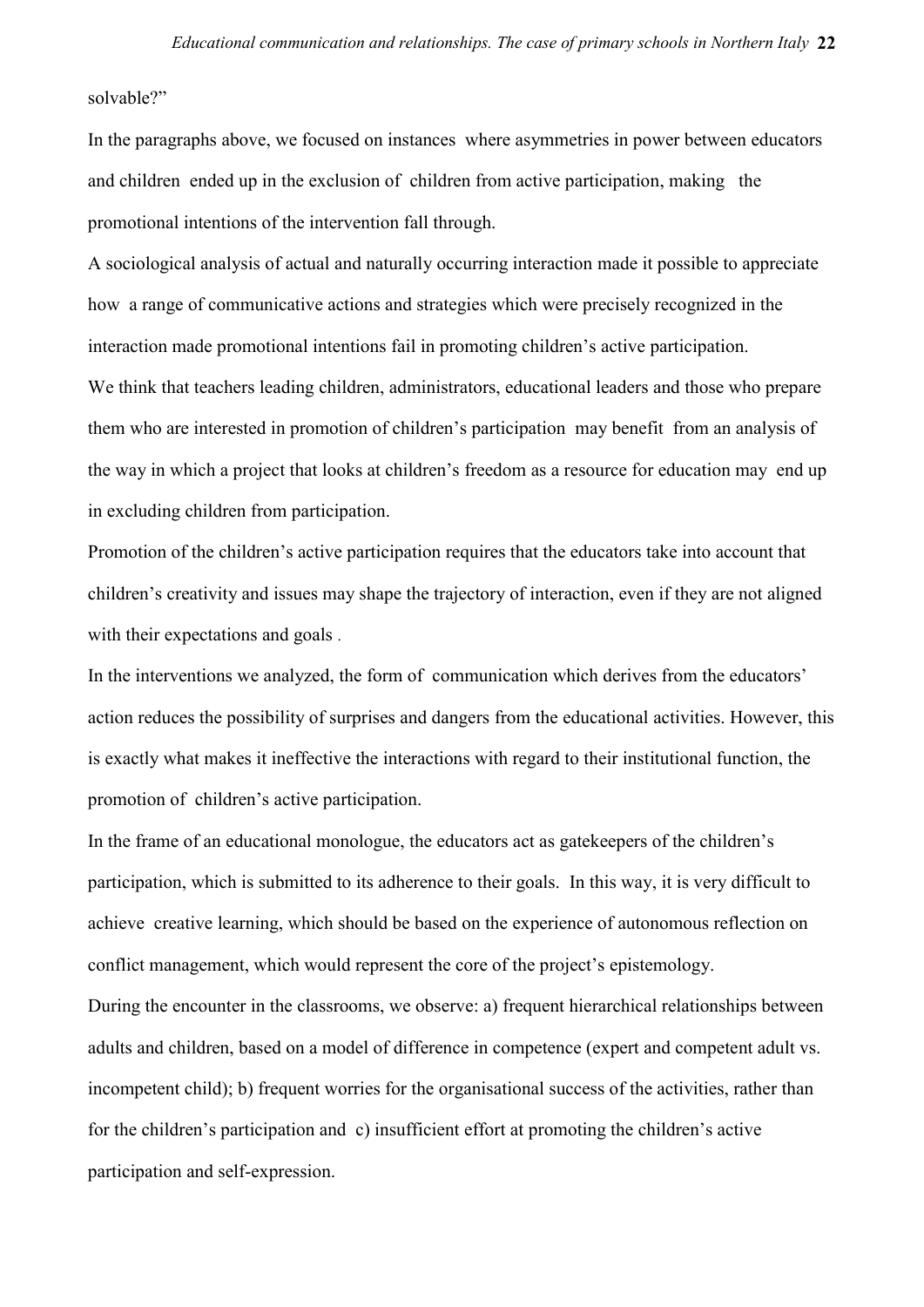solvable?"

In the paragraphs above, we focused on instances where asymmetries in power between educators and children ended up in the exclusion of children from active participation, making the promotional intentions of the intervention fall through.

A sociological analysis of actual and naturally occurring interaction made it possible to appreciate how a range of communicative actions and strategies which were precisely recognized in the interaction made promotional intentions fail in promoting children's active participation. We think that teachers leading children, administrators, educational leaders and those who prepare them who are interested in promotion of children's participation may benefit from an analysis of the way in which a project that looks at children's freedom as a resource for education may end up in excluding children from participation.

Promotion of the children's active participation requires that the educators take into account that children's creativity and issues may shape the trajectory of interaction, even if they are not aligned with their expectations and goals.

In the interventions we analyzed, the form of communication which derives from the educators' action reduces the possibility of surprises and dangers from the educational activities. However, this is exactly what makes it ineffective the interactions with regard to their institutional function, the promotion of children's active participation.

In the frame of an educational monologue, the educators act as gatekeepers of the children's participation, which is submitted to its adherence to their goals. In this way, it is very difficult to achieve creative learning, which should be based on the experience of autonomous reflection on conflict management, which would represent the core of the project's epistemology.

During the encounter in the classrooms, we observe: a) frequent hierarchical relationships between adults and children, based on a model of difference in competence (expert and competent adult vs. incompetent child); b) frequent worries for the organisational success of the activities, rather than for the children's participation and c) insufficient effort at promoting the children's active participation and self-expression.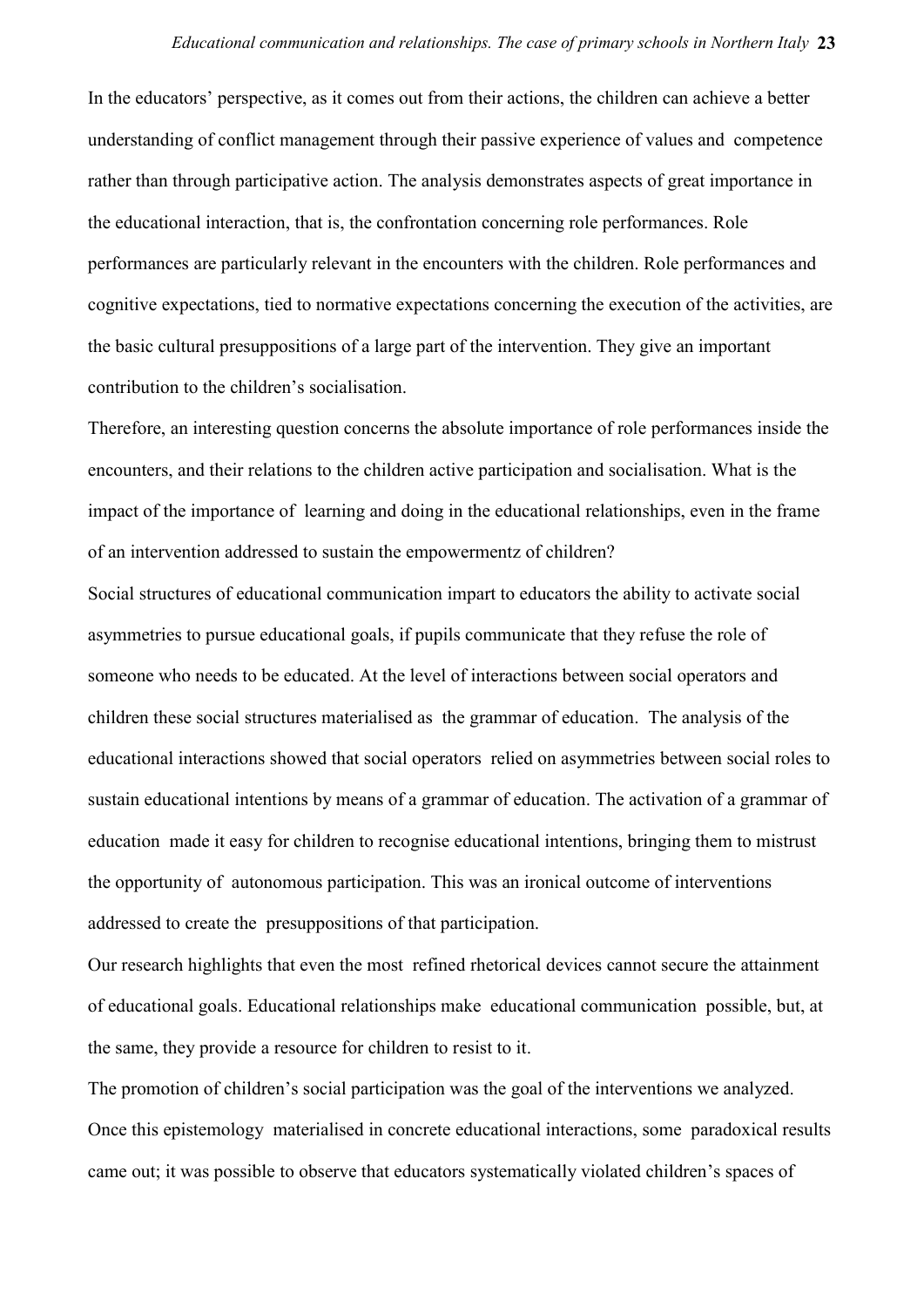In the educators' perspective, as it comes out from their actions, the children can achieve a better understanding of conflict management through their passive experience of values and competence rather than through participative action. The analysis demonstrates aspects of great importance in the educational interaction, that is, the confrontation concerning role performances. Role performances are particularly relevant in the encounters with the children. Role performances and cognitive expectations, tied to normative expectations concerning the execution of the activities, are the basic cultural presuppositions of a large part of the intervention. They give an important contribution to the children's socialisation.

Therefore, an interesting question concerns the absolute importance of role performances inside the encounters, and their relations to the children active participation and socialisation. What is the impact of the importance of learning and doing in the educational relationships, even in the frame of an intervention addressed to sustain the empowermentz of children?

Social structures of educational communication impart to educators the ability to activate social asymmetries to pursue educational goals, if pupils communicate that they refuse the role of someone who needs to be educated. At the level of interactions between social operators and children these social structures materialised as the grammar of education. The analysis of the educational interactions showed that social operators relied on asymmetries between social roles to sustain educational intentions by means of a grammar of education. The activation of a grammar of education made it easy for children to recognise educational intentions, bringing them to mistrust the opportunity of autonomous participation. This was an ironical outcome of interventions addressed to create the presuppositions of that participation.

Our research highlights that even the most refined rhetorical devices cannot secure the attainment of educational goals. Educational relationships make educational communication possible, but, at the same, they provide a resource for children to resist to it.

The promotion of children's social participation was the goal of the interventions we analyzed. Once this epistemology materialised in concrete educational interactions, some paradoxical results came out; it was possible to observe that educators systematically violated children's spaces of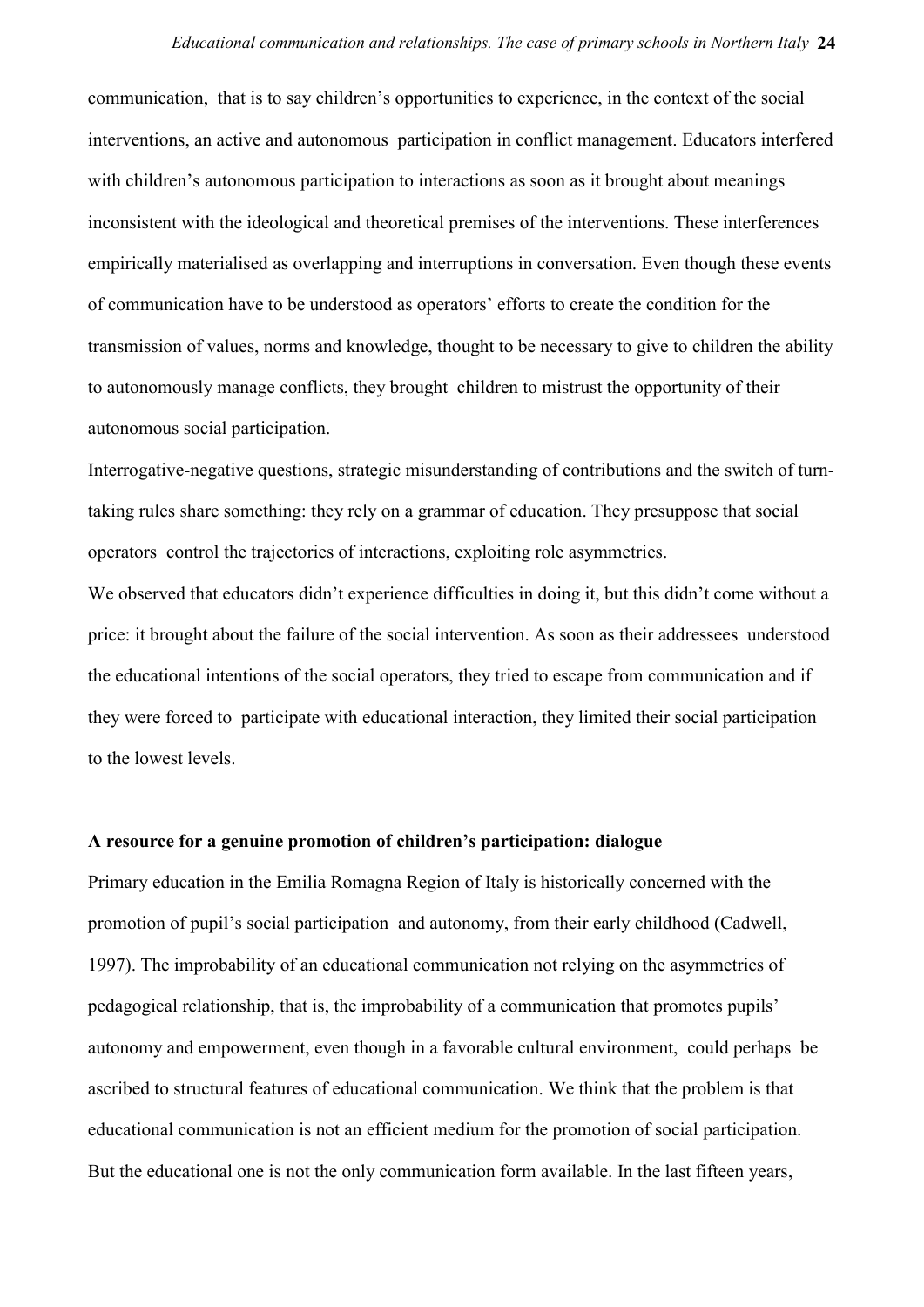communication, that is to say children's opportunities to experience, in the context of the social interventions, an active and autonomous participation in conflict management. Educators interfered with children's autonomous participation to interactions as soon as it brought about meanings inconsistent with the ideological and theoretical premises of the interventions. These interferences empirically materialised as overlapping and interruptions in conversation. Even though these events of communication have to be understood as operators' efforts to create the condition for the transmission of values, norms and knowledge, thought to be necessary to give to children the ability to autonomously manage conflicts, they brought children to mistrust the opportunity of their autonomous social participation.

Interrogative-negative questions, strategic misunderstanding of contributions and the switch of turntaking rules share something: they rely on a grammar of education. They presuppose that social operators control the trajectories of interactions, exploiting role asymmetries.

We observed that educators didn't experience difficulties in doing it, but this didn't come without a price: it brought about the failure of the social intervention. As soon as their addressees understood the educational intentions of the social operators, they tried to escape from communication and if they were forced to participate with educational interaction, they limited their social participation to the lowest levels.

### **A resource for a genuine promotion of children's participation: dialogue**

Primary education in the Emilia Romagna Region of Italy is historically concerned with the promotion of pupil's social participation and autonomy, from their early childhood (Cadwell, 1997). The improbability of an educational communication not relying on the asymmetries of pedagogical relationship, that is, the improbability of a communication that promotes pupils' autonomy and empowerment, even though in a favorable cultural environment, could perhaps be ascribed to structural features of educational communication. We think that the problem is that educational communication is not an efficient medium for the promotion of social participation. But the educational one is not the only communication form available. In the last fifteen years,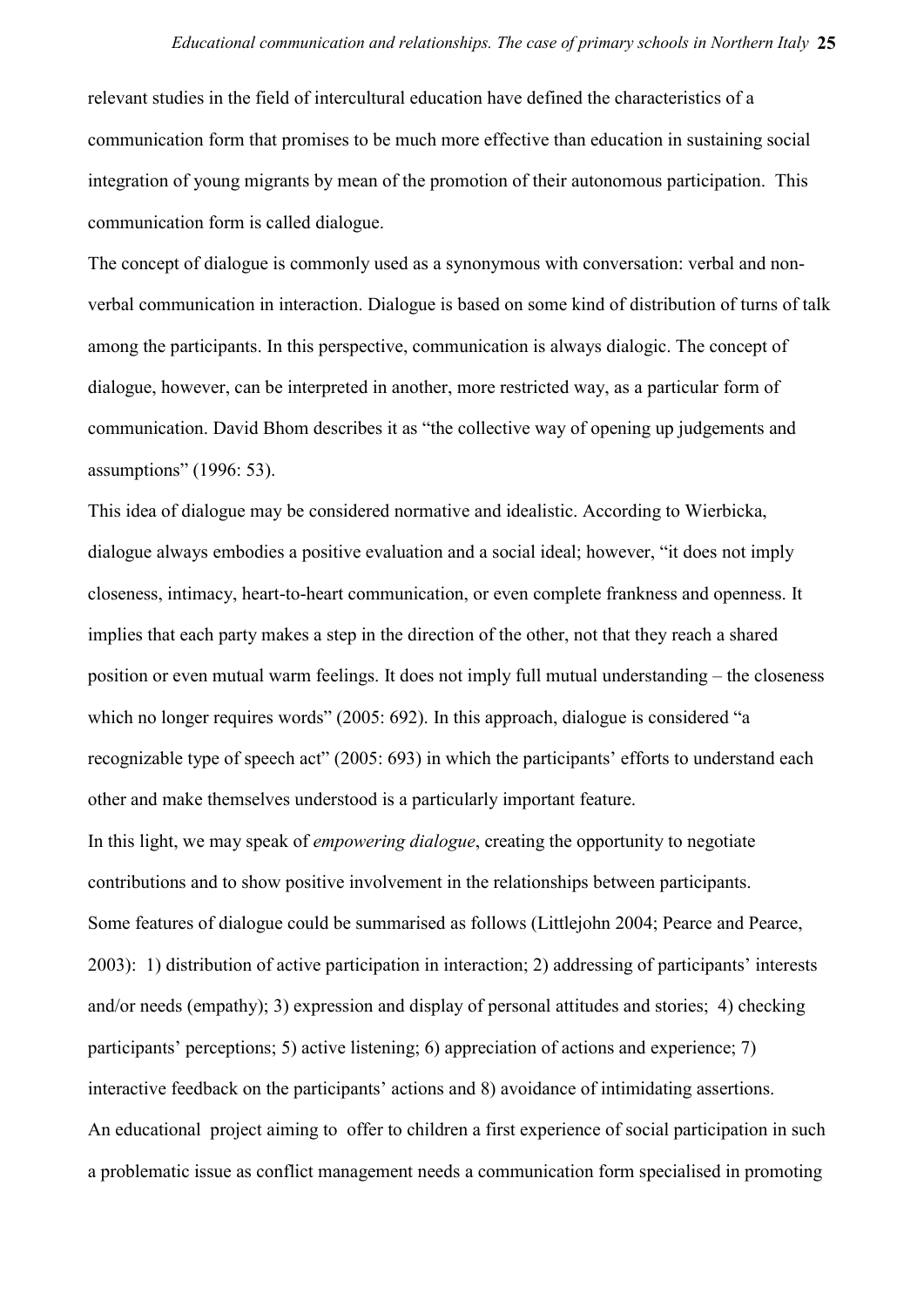relevant studies in the field of intercultural education have defined the characteristics of a communication form that promises to be much more effective than education in sustaining social integration of young migrants by mean of the promotion of their autonomous participation. This communication form is called dialogue.

The concept of dialogue is commonly used as a synonymous with conversation: verbal and nonverbal communication in interaction. Dialogue is based on some kind of distribution of turns of talk among the participants. In this perspective, communication is always dialogic. The concept of dialogue, however, can be interpreted in another, more restricted way, as a particular form of communication. David Bhom describes it as "the collective way of opening up judgements and assumptions" (1996: 53).

This idea of dialogue may be considered normative and idealistic. According to Wierbicka, dialogue always embodies a positive evaluation and a social ideal; however, "it does not imply closeness, intimacy, heart-to-heart communication, or even complete frankness and openness. It implies that each party makes a step in the direction of the other, not that they reach a shared position or even mutual warm feelings. It does not imply full mutual understanding – the closeness which no longer requires words" (2005: 692). In this approach, dialogue is considered "a recognizable type of speech act" (2005: 693) in which the participants' efforts to understand each other and make themselves understood is a particularly important feature.

In this light, we may speak of *empowering dialogue*, creating the opportunity to negotiate contributions and to show positive involvement in the relationships between participants. Some features of dialogue could be summarised as follows (Littlejohn 2004; Pearce and Pearce, 2003): 1) distribution of active participation in interaction; 2) addressing of participants' interests and/or needs (empathy); 3) expression and display of personal attitudes and stories; 4) checking participants' perceptions; 5) active listening; 6) appreciation of actions and experience; 7) interactive feedback on the participants' actions and 8) avoidance of intimidating assertions. An educational project aiming to offer to children a first experience of social participation in such a problematic issue as conflict management needs a communication form specialised in promoting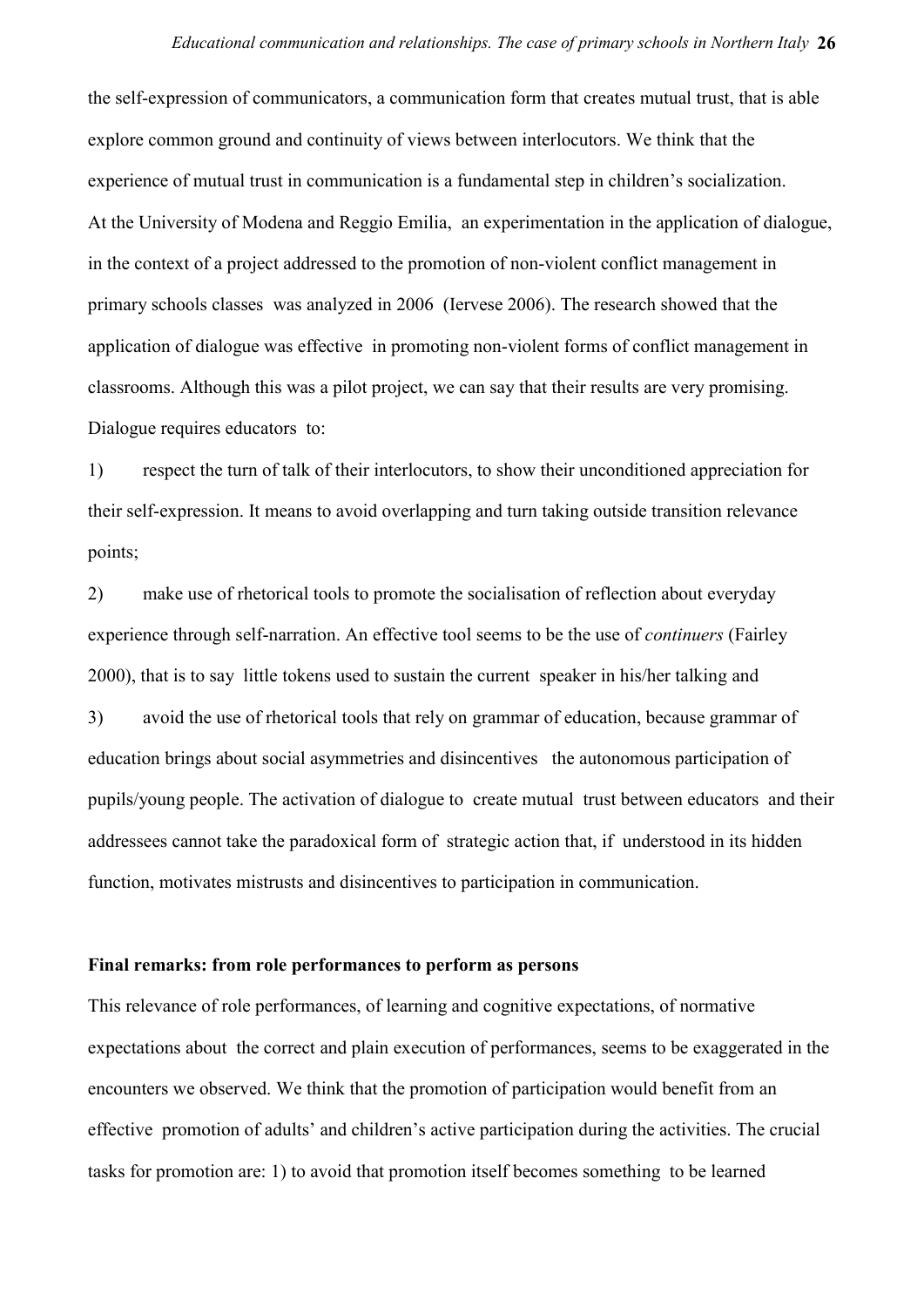the self-expression of communicators, a communication form that creates mutual trust, that is able explore common ground and continuity of views between interlocutors. We think that the experience of mutual trust in communication is a fundamental step in children's socialization. At the University of Modena and Reggio Emilia, an experimentation in the application of dialogue, in the context of a project addressed to the promotion of non-violent conflict management in primary schools classes was analyzed in 2006 (Iervese 2006). The research showed that the application of dialogue was effective in promoting non-violent forms of conflict management in classrooms. Although this was a pilot project, we can say that their results are very promising. Dialogue requires educators to:

1) respect the turn of talk of their interlocutors, to show their unconditioned appreciation for their self-expression. It means to avoid overlapping and turn taking outside transition relevance points;

2) make use of rhetorical tools to promote the socialisation of reflection about everyday experience through self-narration. An effective tool seems to be the use of *continuers* (Fairley 2000), that is to say little tokens used to sustain the current speaker in his/her talking and 3) avoid the use of rhetorical tools that rely on grammar of education, because grammar of education brings about social asymmetries and disincentives the autonomous participation of pupils/young people. The activation of dialogue to create mutual trust between educators and their addressees cannot take the paradoxical form of strategic action that, if understood in its hidden function, motivates mistrusts and disincentives to participation in communication.

#### **Final remarks: from role performances to perform as persons**

This relevance of role performances, of learning and cognitive expectations, of normative expectations about the correct and plain execution of performances, seems to be exaggerated in the encounters we observed. We think that the promotion of participation would benefit from an effective promotion of adults' and children's active participation during the activities. The crucial tasks for promotion are: 1) to avoid that promotion itself becomes something to be learned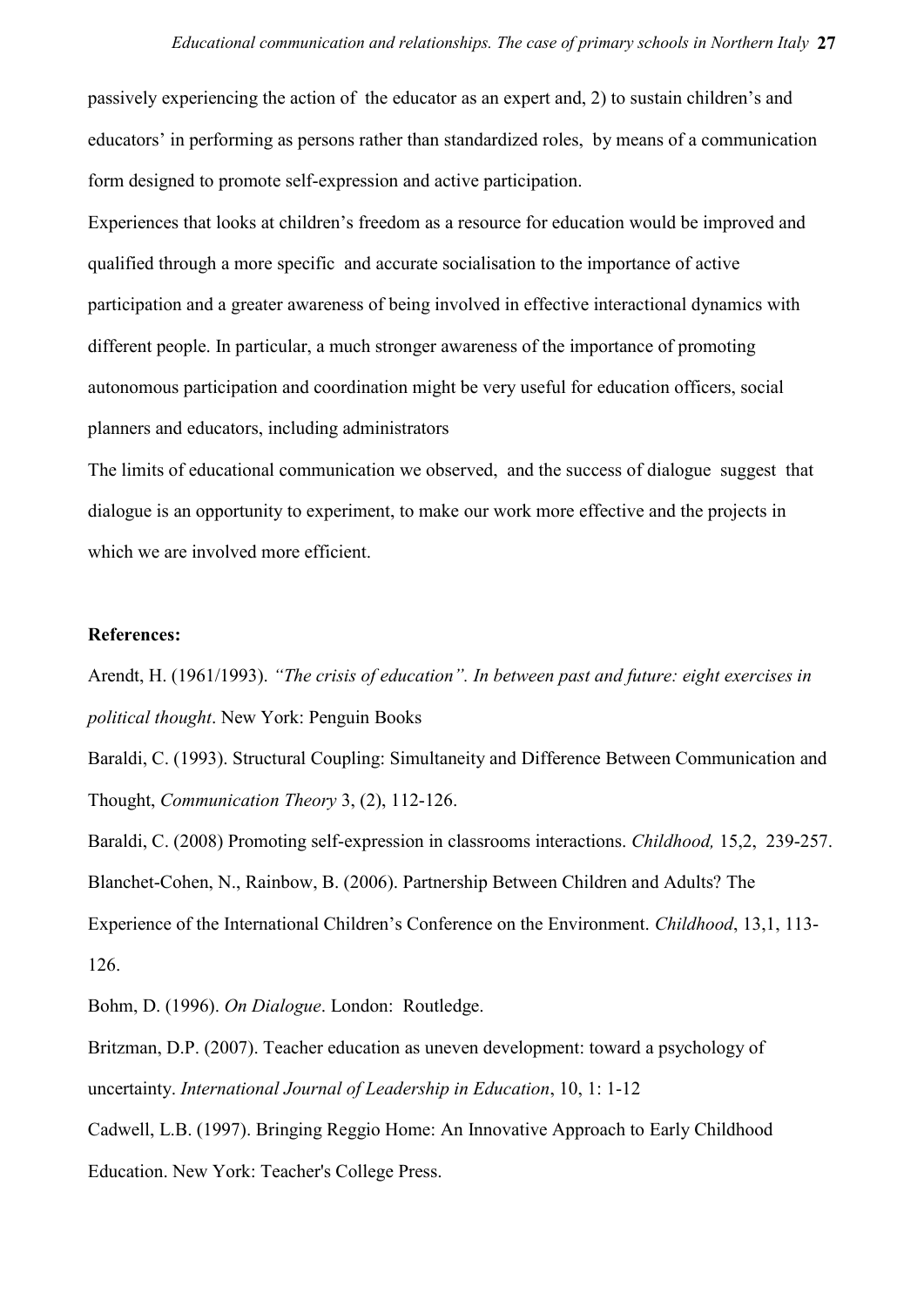passively experiencing the action of the educator as an expert and, 2) to sustain children's and educators' in performing as persons rather than standardized roles, by means of a communication form designed to promote self-expression and active participation.

Experiences that looks at children's freedom as a resource for education would be improved and qualified through a more specific and accurate socialisation to the importance of active participation and a greater awareness of being involved in effective interactional dynamics with different people. In particular, a much stronger awareness of the importance of promoting autonomous participation and coordination might be very useful for education officers, social planners and educators, including administrators

The limits of educational communication we observed, and the success of dialogue suggest that dialogue is an opportunity to experiment, to make our work more effective and the projects in which we are involved more efficient.

### **References:**

Arendt, H. (1961/1993). *"The crisis of education". In between past and future: eight exercises in political thought*. New York: Penguin Books

Baraldi, C. (1993). Structural Coupling: Simultaneity and Difference Between Communication and Thought, *Communication Theory* 3, (2), 112-126.

Baraldi, C. (2008) Promoting self-expression in classrooms interactions. *Childhood,* 15,2, 239-257. Blanchet-Cohen, N., Rainbow, B. (2006). Partnership Between Children and Adults? The Experience of the International Children's Conference on the Environment. *Childhood*, 13,1, 113- 126.

Bohm, D. (1996). *On Dialogue*. London: Routledge.

Britzman, D.P. (2007). Teacher education as uneven development: toward a psychology of uncertainty. *International Journal of Leadership in Education*, 10, 1: 1-12

Cadwell, L.B. (1997). Bringing Reggio Home: An Innovative Approach to Early Childhood Education. New York: Teacher's College Press.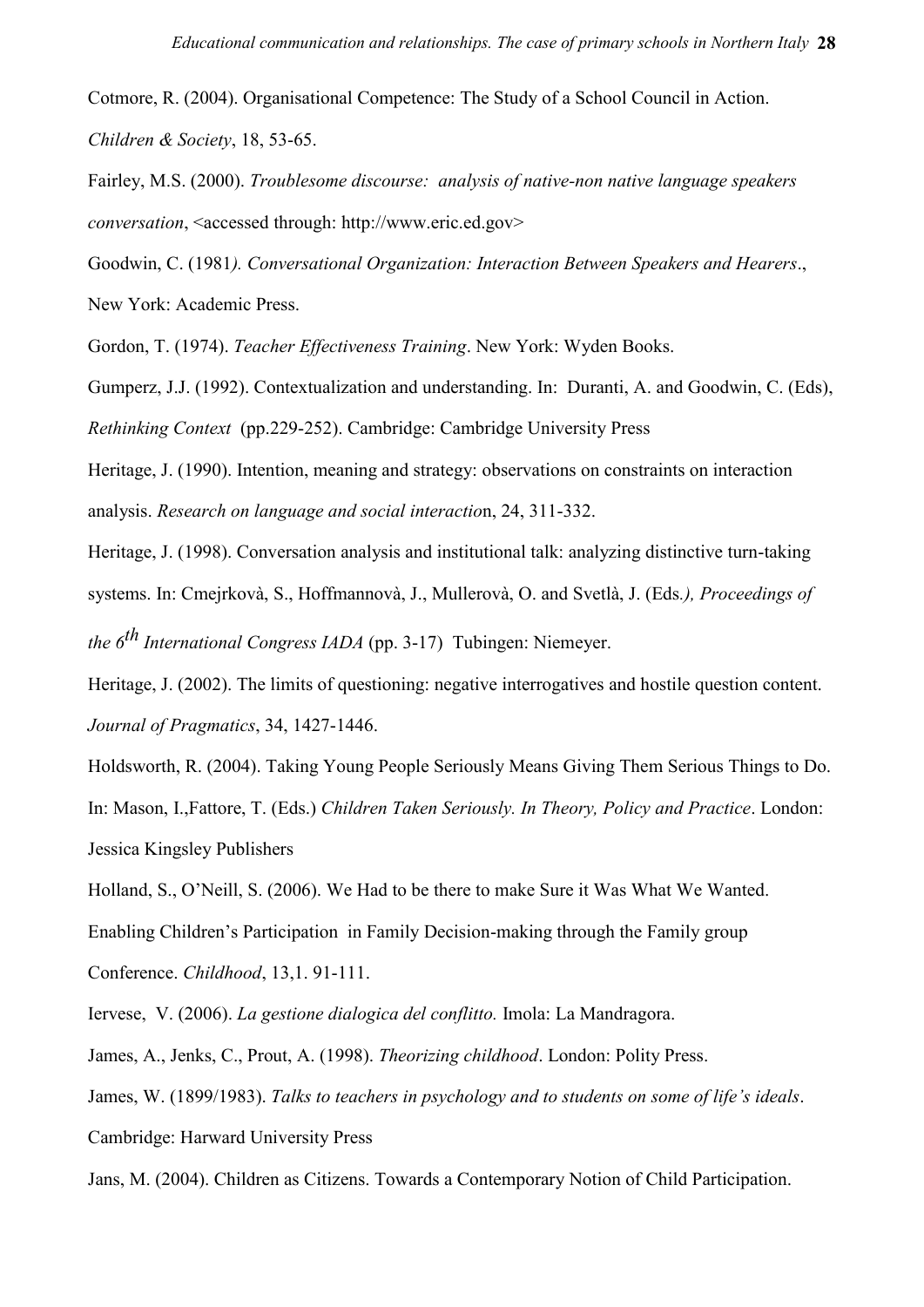Cotmore, R. (2004). Organisational Competence: The Study of a School Council in Action.

*Children & Society*, 18, 53-65.

Fairley, M.S. (2000). *Troublesome discourse: analysis of native-non native language speakers conversation*, <accessed through: http://www.eric.ed.gov>

Goodwin, C. (1981*). Conversational Organization: Interaction Between Speakers and Hearers*.,

New York: Academic Press.

Gordon, T. (1974). *Teacher Effectiveness Training*. New York: Wyden Books.

Gumperz, J.J. (1992). Contextualization and understanding. In: Duranti, A. and Goodwin, C. (Eds), *Rethinking Context* (pp.229-252). Cambridge: Cambridge University Press

Heritage, J. (1990). Intention, meaning and strategy: observations on constraints on interaction analysis. *Research on language and social interactio*n, 24, 311-332.

Heritage, J. (1998). Conversation analysis and institutional talk: analyzing distinctive turn-taking systems. In: Cmejrkovà, S., Hoffmannovà, J., Mullerovà, O. and Svetlà, J. (Eds*.), Proceedings of* 

*the 6th International Congress IADA* (pp. 3-17) Tubingen: Niemeyer.

Heritage, J. (2002). The limits of questioning: negative interrogatives and hostile question content. *Journal of Pragmatics*, 34, 1427-1446.

Holdsworth, R. (2004). Taking Young People Seriously Means Giving Them Serious Things to Do. In: Mason, I.,Fattore, T. (Eds.) *Children Taken Seriously. In Theory, Policy and Practice*. London: Jessica Kingsley Publishers

Holland, S., O'Neill, S. (2006). We Had to be there to make Sure it Was What We Wanted.

Enabling Children's Participation in Family Decision-making through the Family group

Conference. *Childhood*, 13,1. 91-111.

Iervese, V. (2006). *La gestione dialogica del conflitto.* Imola: La Mandragora.

James, A., Jenks, C., Prout, A. (1998). *Theorizing childhood*. London: Polity Press.

James, W. (1899/1983). *Talks to teachers in psychology and to students on some of life's ideals*. Cambridge: Harward University Press

Jans, M. (2004). Children as Citizens. Towards a Contemporary Notion of Child Participation.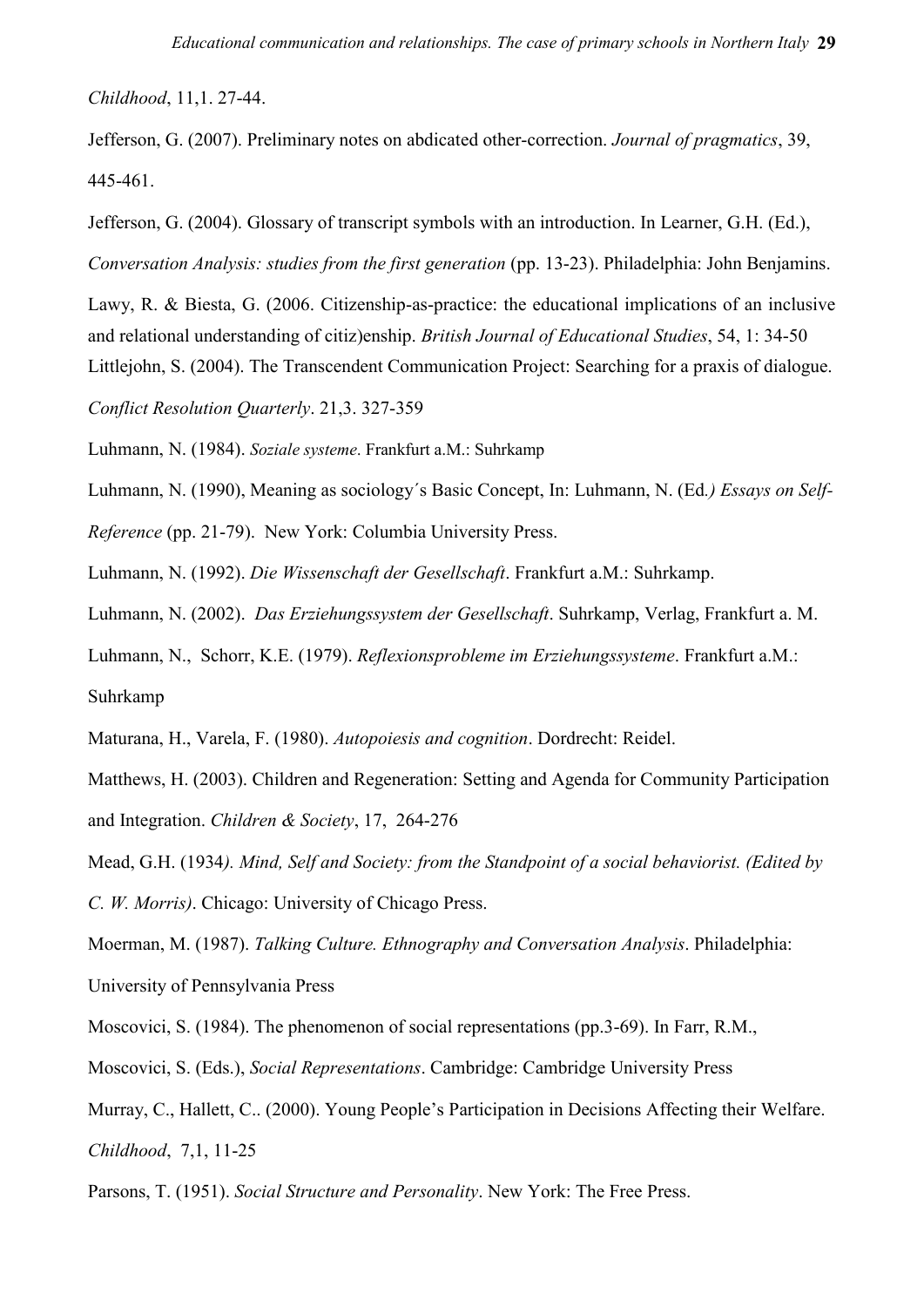*Childhood*, 11,1. 27-44.

Jefferson, G. (2007). Preliminary notes on abdicated other-correction. *Journal of pragmatics*, 39, 445-461.

Jefferson, G. (2004). Glossary of transcript symbols with an introduction. In Learner, G.H. (Ed.), *Conversation Analysis: studies from the first generation* (pp. 13-23). Philadelphia: John Benjamins.

Lawy, R. & Biesta, G. (2006. Citizenship-as-practice: the educational implications of an inclusive and relational understanding of citiz)enship. *British Journal of Educational Studies*, 54, 1: 34-50 Littlejohn, S. (2004). The Transcendent Communication Project: Searching for a praxis of dialogue.

*Conflict Resolution Quarterly*. 21,3. 327-359

Luhmann, N. (1984). *Soziale systeme*. Frankfurt a.M.: Suhrkamp

Luhmann, N. (1990), Meaning as sociology´s Basic Concept, In: Luhmann, N. (Ed*.) Essays on Self-*

*Reference* (pp. 21-79). New York: Columbia University Press.

Luhmann, N. (1992). *Die Wissenschaft der Gesellschaft*. Frankfurt a.M.: Suhrkamp.

Luhmann, N. (2002). *Das Erziehungssystem der Gesellschaft*. Suhrkamp, Verlag, Frankfurt a. M.

Luhmann, N., Schorr, K.E. (1979). *Reflexionsprobleme im Erziehungssysteme*. Frankfurt a.M.: Suhrkamp

Maturana, H., Varela, F. (1980). *Autopoiesis and cognition*. Dordrecht: Reidel.

Matthews, H. (2003). Children and Regeneration: Setting and Agenda for Community Participation and Integration. *Children & Society*, 17, 264-276

Mead, G.H. (1934*). Mind, Self and Society: from the Standpoint of a social behaviorist. (Edited by C. W. Morris)*. Chicago: University of Chicago Press.

Moerman, M. (1987). *Talking Culture. Ethnography and Conversation Analysis*. Philadelphia:

University of Pennsylvania Press

Moscovici, S. (1984). The phenomenon of social representations (pp.3-69). In Farr, R.M.,

Moscovici, S. (Eds.), *Social Representations*. Cambridge: Cambridge University Press

Murray, C., Hallett, C.. (2000). Young People's Participation in Decisions Affecting their Welfare. *Childhood*, 7,1, 11-25

Parsons, T. (1951). *Social Structure and Personality*. New York: The Free Press.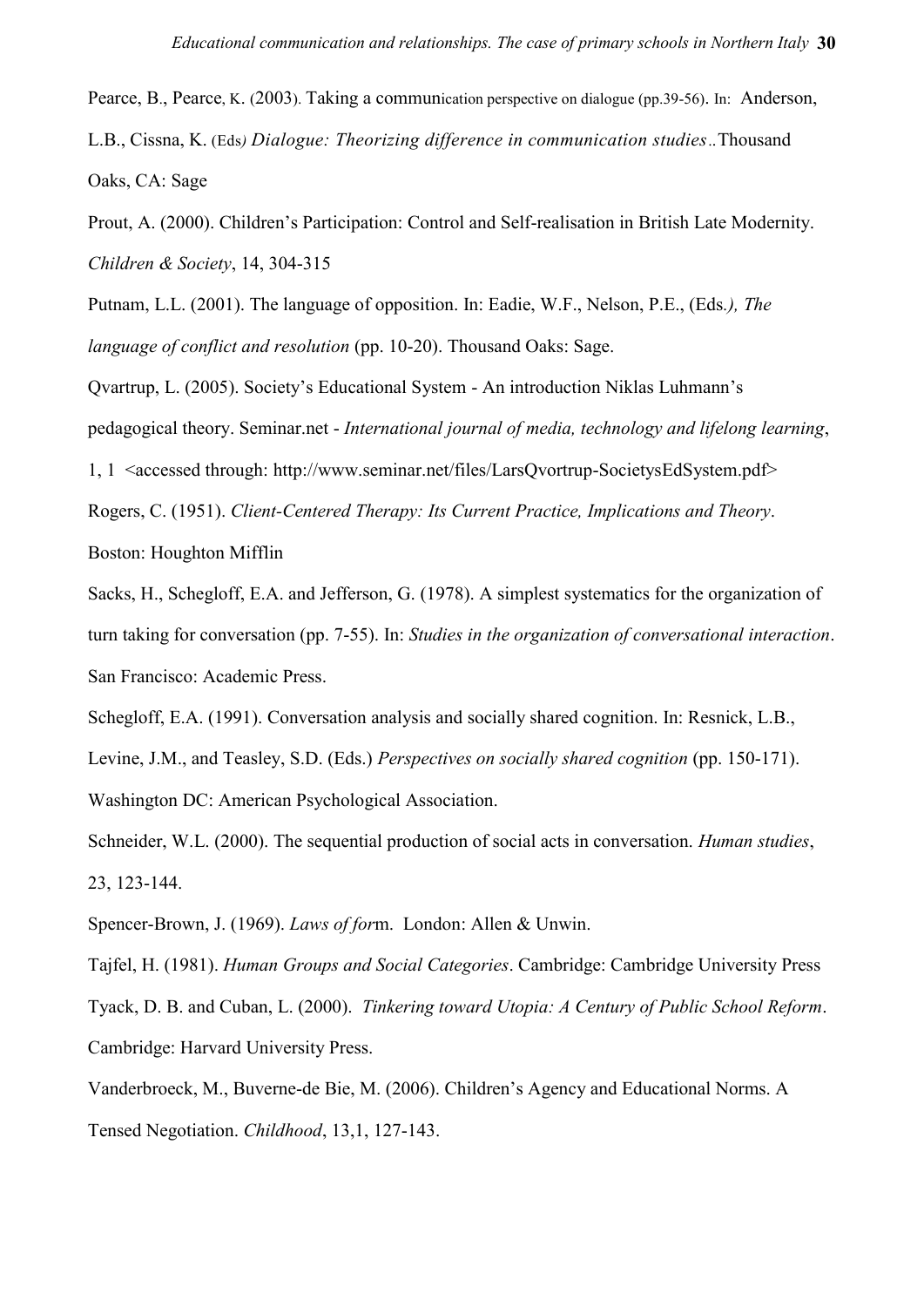Pearce, B., Pearce, K. (2003). Taking a communication perspective on dialogue (pp.39-56). In: Anderson,

L.B., Cissna, K. (Eds*) Dialogue: Theorizing difference in communication studies*.*.*Thousand

Oaks, CA: Sage

Prout, A. (2000). Children's Participation: Control and Self-realisation in British Late Modernity. *Children & Society*, 14, 304-315

Putnam, L.L. (2001). The language of opposition. In: Eadie, W.F., Nelson, P.E., (Eds*.), The language of conflict and resolution* (pp. 10-20). Thousand Oaks: Sage.

Qvartrup, L. (2005). Society's Educational System - An introduction Niklas Luhmann's pedagogical theory. Seminar.net - *International journal of media, technology and lifelong learning*, 1, 1 <accessed through: http://www.seminar.net/files/LarsQvortrup-SocietysEdSystem.pdf> Rogers, C. (1951). *Client-Centered Therapy: Its Current Practice, Implications and Theory*.

Boston: Houghton Mifflin

Sacks, H., Schegloff, E.A. and Jefferson, G. (1978). A simplest systematics for the organization of turn taking for conversation (pp. 7-55). In: *Studies in the organization of conversational interaction*. San Francisco: Academic Press.

Schegloff, E.A. (1991). Conversation analysis and socially shared cognition. In: Resnick, L.B., Levine, J.M., and Teasley, S.D. (Eds.) *Perspectives on socially shared cognition* (pp. 150-171). Washington DC: American Psychological Association.

Schneider, W.L. (2000). The sequential production of social acts in conversation. *Human studies*, 23, 123-144.

Spencer-Brown, J. (1969). *Laws of for*m. London: Allen & Unwin.

Tajfel, H. (1981). *Human Groups and Social Categories*. Cambridge: Cambridge University Press Tyack, D. B. and Cuban, L. (2000). *Tinkering toward Utopia: A Century of Public School Reform*. Cambridge: Harvard University Press.

Vanderbroeck, M., Buverne-de Bie, M. (2006). Children's Agency and Educational Norms. A Tensed Negotiation. *Childhood*, 13,1, 127-143.